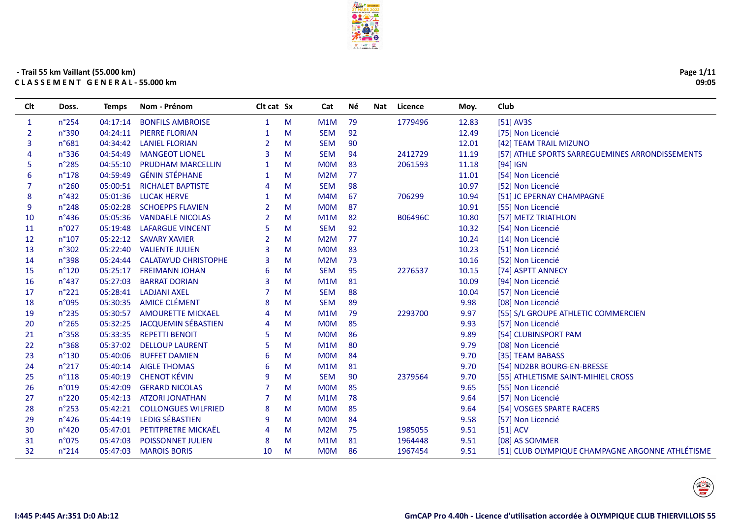

| Page 1/11 |
|-----------|
| 09:05     |

| Clt            | Doss.           | <b>Temps</b> | Nom - Prénom                | Clt cat Sx     |   | Cat              | Né | Nat | Licence | Moy.  | Club                                             |
|----------------|-----------------|--------------|-----------------------------|----------------|---|------------------|----|-----|---------|-------|--------------------------------------------------|
| $\mathbf{1}$   | n°254           | 04:17:14     | <b>BONFILS AMBROISE</b>     | $\mathbf{1}$   | M | M1M              | 79 |     | 1779496 | 12.83 | [51] AV3S                                        |
| $\overline{2}$ | n°390           | 04:24:11     | <b>PIERRE FLORIAN</b>       | 1              | M | <b>SEM</b>       | 92 |     |         | 12.49 | [75] Non Licencié                                |
| 3              | n°681           | 04:34:42     | <b>LANIEL FLORIAN</b>       | $\overline{2}$ | M | <b>SEM</b>       | 90 |     |         | 12.01 | [42] TEAM TRAIL MIZUNO                           |
|                | $n^{\circ}336$  | 04:54:49     | <b>MANGEOT LIONEL</b>       | 3              | M | <b>SEM</b>       | 94 |     | 2412729 | 11.19 | [57] ATHLE SPORTS SARREGUEMINES ARRONDISSEMENTS  |
| 5              | $n^{\circ}285$  | 04:55:10     | PRUDHAM MARCELLIN           |                | M | <b>MOM</b>       | 83 |     | 2061593 | 11.18 | $[94]$ IGN                                       |
| 6              | $n^{\circ}178$  | 04:59:49     | <b>GÉNIN STÉPHANE</b>       |                | м | M2M              | 77 |     |         | 11.01 | [54] Non Licencié                                |
| 7              | $n^{\circ}260$  | 05:00:51     | <b>RICHALET BAPTISTE</b>    | 4              | м | <b>SEM</b>       | 98 |     |         | 10.97 | [52] Non Licencié                                |
| 8              | $n^{\circ}432$  | 05:01:36     | <b>LUCAK HERVE</b>          |                | M | M4M              | 67 |     | 706299  | 10.94 | [51] JC EPERNAY CHAMPAGNE                        |
| 9              | n°248           | 05:02:28     | <b>SCHOEPPS FLAVIEN</b>     | 2              | M | <b>MOM</b>       | 87 |     |         | 10.91 | [55] Non Licencié                                |
| 10             | $n^{\circ}$ 436 | 05:05:36     | <b>VANDAELE NICOLAS</b>     | 2              | M | M1M              | 82 |     | B06496C | 10.80 | [57] METZ TRIATHLON                              |
| 11             | n°027           | 05:19:48     | <b>LAFARGUE VINCENT</b>     | 5              | м | <b>SEM</b>       | 92 |     |         | 10.32 | [54] Non Licencié                                |
| 12             | $n^{\circ}107$  | 05:22:12     | <b>SAVARY XAVIER</b>        | 2              | м | M <sub>2</sub> M | 77 |     |         | 10.24 | [14] Non Licencié                                |
| 13             | n°302           | 05:22:40     | <b>VALIENTE JULIEN</b>      | 3              | M | <b>MOM</b>       | 83 |     |         | 10.23 | [51] Non Licencié                                |
| 14             | n°398           | 05:24:44     | <b>CALATAYUD CHRISTOPHE</b> | 3              | M | M <sub>2</sub> M | 73 |     |         | 10.16 | [52] Non Licencié                                |
| 15             | $n^{\circ}120$  | 05:25:17     | <b>FREIMANN JOHAN</b>       | 6              | M | <b>SEM</b>       | 95 |     | 2276537 | 10.15 | [74] ASPTT ANNECY                                |
| 16             | $n^{\circ}437$  | 05:27:03     | <b>BARRAT DORIAN</b>        | 3              | м | M1M              | 81 |     |         | 10.09 | [94] Non Licencié                                |
| 17             | $n^{\circ}221$  | 05:28:41     | <b>LADJANI AXEL</b>         |                | м | <b>SEM</b>       | 88 |     |         | 10.04 | [57] Non Licencié                                |
| 18             | n°095           | 05:30:35     | <b>AMICE CLÉMENT</b>        | 8              | M | <b>SEM</b>       | 89 |     |         | 9.98  | [08] Non Licencié                                |
| 19             | $n^{\circ}$ 235 | 05:30:57     | <b>AMOURETTE MICKAEL</b>    |                | M | M1M              | 79 |     | 2293700 | 9.97  | [55] S/L GROUPE ATHLETIC COMMERCIEN              |
| 20             | n°265           | 05:32:25     | <b>JACQUEMIN SÉBASTIEN</b>  | 4              | M | <b>MOM</b>       | 85 |     |         | 9.93  | [57] Non Licencié                                |
| 21             | $n^{\circ}358$  | 05:33:35     | <b>REPETTI BENOIT</b>       | 5              | м | <b>MOM</b>       | 86 |     |         | 9.89  | [54] CLUBINSPORT PAM                             |
| 22             | $n^{\circ}368$  | 05:37:02     | <b>DELLOUP LAURENT</b>      | 5              | м | M1M              | 80 |     |         | 9.79  | [08] Non Licencié                                |
| 23             | $n^{\circ}$ 130 | 05:40:06     | <b>BUFFET DAMIEN</b>        | 6              | M | <b>MOM</b>       | 84 |     |         | 9.70  | [35] TEAM BABASS                                 |
| 24             | $n^{\circ}217$  | 05:40:14     | <b>AIGLE THOMAS</b>         | 6              | M | M1M              | 81 |     |         | 9.70  | [54] ND2BR BOURG-EN-BRESSE                       |
| 25             | $n^{\circ}118$  | 05:40:19     | <b>CHENOT KÉVIN</b>         | 9              | м | <b>SEM</b>       | 90 |     | 2379564 | 9.70  | [55] ATHLETISME SAINT-MIHIEL CROSS               |
| 26             | n°019           | 05:42:09     | <b>GERARD NICOLAS</b>       |                | м | <b>MOM</b>       | 85 |     |         | 9.65  | [55] Non Licencié                                |
| 27             | n°220           | 05:42:13     | <b>ATZORI JONATHAN</b>      |                | м | M1M              | 78 |     |         | 9.64  | [57] Non Licencié                                |
| 28             | $n^{\circ}253$  | 05:42:21     | <b>COLLONGUES WILFRIED</b>  | 8              | M | <b>MOM</b>       | 85 |     |         | 9.64  | [54] VOSGES SPARTE RACERS                        |
| 29             | $n^{\circ}426$  | 05:44:19     | LEDIG SÉBASTIEN             | 9              | M | <b>MOM</b>       | 84 |     |         | 9.58  | [57] Non Licencié                                |
| 30             | n°420           | 05:47:01     | PETITPRETRE MICKAËL         | 4              | M | M2M              | 75 |     | 1985055 | 9.51  | $[51]$ ACV                                       |
| 31             | n°075           | 05:47:03     | <b>POISSONNET JULIEN</b>    | 8              | M | M1M              | 81 |     | 1964448 | 9.51  | [08] AS SOMMER                                   |
| 32             | $n^{\circ}$ 214 | 05:47:03     | <b>MAROIS BORIS</b>         | 10             | M | <b>MOM</b>       | 86 |     | 1967454 | 9.51  | [51] CLUB OLYMPIQUE CHAMPAGNE ARGONNE ATHLÉTISME |

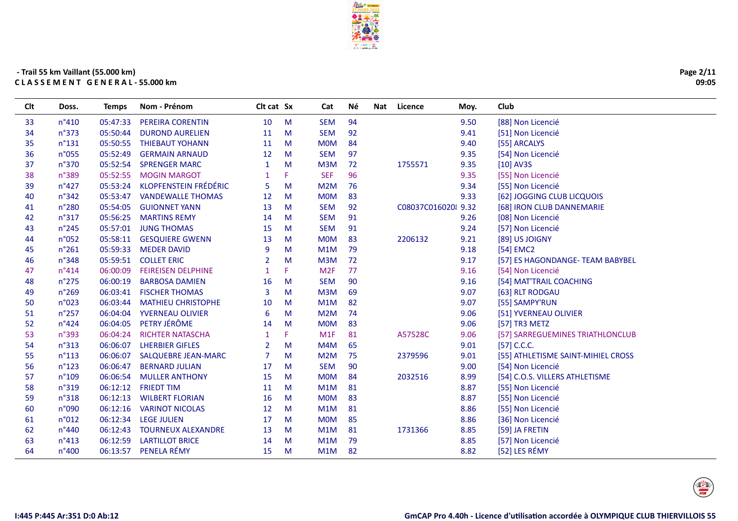

| Page 2/11 |
|-----------|
| 09:05     |

| 94<br>33<br>05:47:33<br>10<br>M<br><b>SEM</b><br>9.50<br>[88] Non Licencié<br>$n^{\circ}410$<br>PEREIRA CORENTIN<br>92<br>34<br>$n^{\circ}373$<br>05:50:44<br><b>DUROND AURELIEN</b><br>M<br><b>SEM</b><br>9.41<br>[51] Non Licencié<br>11<br>84<br>35<br>$n^{\circ}$ 131<br>05:50:55<br><b>THIEBAUT YOHANN</b><br>M<br><b>MOM</b><br>9.40<br>[55] ARCALYS<br>11<br>36<br>05:52:49<br><b>SEM</b><br>97<br>9.35<br>n°055<br><b>GERMAIN ARNAUD</b><br>12<br>M<br>[54] Non Licencié<br>72<br>37<br>05:52:54<br><b>SPRENGER MARC</b><br>M<br>M3M<br>1755571<br>9.35<br>$[10]$ AV3S<br>n°370<br>$\mathbf{1}$<br>38<br><b>MOGIN MARGOT</b><br>F.<br><b>SEF</b><br>96<br>9.35<br>[55] Non Licencié<br>n°389<br>05:52:55<br>KLOPFENSTEIN FRÉDÉRIC<br>76<br>39<br>$n^{\circ}427$<br>05:53:24<br>5<br>M<br>M <sub>2</sub> M<br>9.34<br>[55] Non Licencié<br>83<br>40<br>$n^{\circ}342$<br>05:53:47<br><b>VANDEWALLE THOMAS</b><br>12<br>M<br><b>MOM</b><br>9.33<br>[62] JOGGING CLUB LICQUOIS<br>05:54:05<br><b>SEM</b><br>92<br>41<br>$n^{\circ}280$<br><b>GUIONNET YANN</b><br>13<br>M<br>C08037C016020 9.32<br>[68] IRON CLUB DANNEMARIE<br>42<br>05:56:25<br><b>SEM</b><br>91<br>$n^{\circ}317$<br><b>MARTINS REMY</b><br>M<br>9.26<br>[08] Non Licencié<br>14<br>43<br>05:57:01<br><b>JUNG THOMAS</b><br>M<br><b>SEM</b><br>91<br>9.24<br>[57] Non Licencié<br>$n^{\circ}245$<br>15<br>44<br>n°052<br>05:58:11<br><b>GESQUIERE GWENN</b><br>13<br>M<br><b>MOM</b><br>83<br>2206132<br>9.21<br>[89] US JOIGNY<br>45<br>05:59:33 MEDER DAVID<br>M<br>79<br>[54] EMC2<br>$n^{\circ}261$<br>9<br>M1M<br>9.18<br>72<br>46<br>n°348<br>05:59:51<br><b>COLLET ERIC</b><br>M<br>M3M<br>9.17<br>2<br>[57] ES HAGONDANGE- TEAM BABYBEL<br>47<br>06:00:09<br><b>FEIREISEN DELPHINE</b><br>F.<br>M <sub>2F</sub><br>77<br>9.16<br>$n^{\circ}414$<br>[54] Non Licencié<br>$\mathbf{1}$<br>90<br>48<br>06:00:19<br><b>BARBOSA DAMIEN</b><br>M<br><b>SEM</b><br>9.16<br>$n^{\circ}$ 275<br>16<br>[54] MAT'TRAIL COACHING<br>M3M<br>69<br>9.07<br>49<br>$n^{\circ}269$<br>06:03:41 FISCHER THOMAS<br>3<br>M<br>[63] RLT RODGAU<br>82<br>50<br>n°023<br>06:03:44<br><b>MATHIEU CHRISTOPHE</b><br>M<br>M1M<br>9.07<br>[55] SAMPY'RUN<br>10<br>74<br>06:04:04 YVERNEAU OLIVIER<br>M<br>M2M<br>51<br>$n^{\circ}257$<br>6<br>9.06<br>[51] YVERNEAU OLIVIER<br>PETRY JÉRÔME<br>52<br>06:04:05<br>83<br>$n^{\circ}424$<br>M<br><b>MOM</b><br>9.06<br>14<br>[57] TR3 METZ<br>53<br>06:04:24<br><b>RICHTER NATASCHA</b><br>M1F<br>81<br>A57528C<br>n°393<br>F.<br>9.06<br>[57] SARREGUEMINES TRIATHLONCLUB<br>1<br>54<br>$n^{\circ}313$<br>06:06:07<br><b>LHERBIER GIFLES</b><br>M<br>M4M<br>65<br>9.01<br>$[57]$ C.C.C.<br>2<br>55<br>M2M<br>9.01<br>$n^{\circ}113$<br>06:06:07<br><b>SALQUEBRE JEAN-MARC</b><br>$\overline{7}$<br>M<br>75<br>2379596<br>[55] ATHLETISME SAINT-MIHIEL CROSS<br>56<br>$n^{\circ}123$<br>06:06:47<br><b>BERNARD JULIAN</b><br>M<br><b>SEM</b><br>90<br>9.00<br>[54] Non Licencié<br>17<br>57<br>84<br>n°109<br>06:06:54 MULLER ANTHONY<br>15<br>M<br><b>MOM</b><br>2032516<br>8.99<br>[54] C.O.S. VILLERS ATHLETISME<br>58<br>06:12:12<br><b>FRIEDT TIM</b><br>M1M<br>81<br>n°319<br>M<br>8.87<br>[55] Non Licencié<br>11<br>59<br>06:12:13<br>83<br>n°318<br><b>WILBERT FLORIAN</b><br>16<br>M<br><b>MOM</b><br>8.87<br>[55] Non Licencié<br>60<br>n°090<br>06:12:16<br><b>VARINOT NICOLAS</b><br>M1M<br>81<br>[55] Non Licencié<br>12<br>M<br>8.86<br>06:12:34<br><b>LEGE JULIEN</b><br>17<br>M<br><b>MOM</b><br>85<br>8.86<br>[36] Non Licencié<br>61<br>n°012<br>62<br>M<br>81<br>1731366<br>n°440<br>06:12:43<br><b>TOURNEUX ALEXANDRE</b><br>13<br>M1M<br>8.85<br>[59] JA FRETIN<br>06:12:59<br><b>LARTILLOT BRICE</b><br>63<br>M<br>M1M<br>79<br>8.85<br>[57] Non Licencié<br>$n^{\circ}413$<br>14<br>PENELA RÉMY<br>[52] LES RÉMY<br>06:13:57<br>M<br>82<br>8.82<br>64<br>n°400<br>15<br>M1M | Clt | Doss. | <b>Temps</b> | Nom - Prénom | Clt cat Sx | Cat | Νé | <b>Nat</b> | Licence | Moy. | Club |
|-------------------------------------------------------------------------------------------------------------------------------------------------------------------------------------------------------------------------------------------------------------------------------------------------------------------------------------------------------------------------------------------------------------------------------------------------------------------------------------------------------------------------------------------------------------------------------------------------------------------------------------------------------------------------------------------------------------------------------------------------------------------------------------------------------------------------------------------------------------------------------------------------------------------------------------------------------------------------------------------------------------------------------------------------------------------------------------------------------------------------------------------------------------------------------------------------------------------------------------------------------------------------------------------------------------------------------------------------------------------------------------------------------------------------------------------------------------------------------------------------------------------------------------------------------------------------------------------------------------------------------------------------------------------------------------------------------------------------------------------------------------------------------------------------------------------------------------------------------------------------------------------------------------------------------------------------------------------------------------------------------------------------------------------------------------------------------------------------------------------------------------------------------------------------------------------------------------------------------------------------------------------------------------------------------------------------------------------------------------------------------------------------------------------------------------------------------------------------------------------------------------------------------------------------------------------------------------------------------------------------------------------------------------------------------------------------------------------------------------------------------------------------------------------------------------------------------------------------------------------------------------------------------------------------------------------------------------------------------------------------------------------------------------------------------------------------------------------------------------------------------------------------------------------------------------------------------------------------------------------------------------------------------------------------------------------------------------------------------------------------------------------------------------------------------------------------------------------------------------------------------------------------------------------------------------------------------------------------------------------------------------------------------------------------------------------------------------------------------------------------------------------------------------------------------------------------------------------------------------------------------------------------------|-----|-------|--------------|--------------|------------|-----|----|------------|---------|------|------|
|                                                                                                                                                                                                                                                                                                                                                                                                                                                                                                                                                                                                                                                                                                                                                                                                                                                                                                                                                                                                                                                                                                                                                                                                                                                                                                                                                                                                                                                                                                                                                                                                                                                                                                                                                                                                                                                                                                                                                                                                                                                                                                                                                                                                                                                                                                                                                                                                                                                                                                                                                                                                                                                                                                                                                                                                                                                                                                                                                                                                                                                                                                                                                                                                                                                                                                                                                                                                                                                                                                                                                                                                                                                                                                                                                                                                                                                                                                       |     |       |              |              |            |     |    |            |         |      |      |
|                                                                                                                                                                                                                                                                                                                                                                                                                                                                                                                                                                                                                                                                                                                                                                                                                                                                                                                                                                                                                                                                                                                                                                                                                                                                                                                                                                                                                                                                                                                                                                                                                                                                                                                                                                                                                                                                                                                                                                                                                                                                                                                                                                                                                                                                                                                                                                                                                                                                                                                                                                                                                                                                                                                                                                                                                                                                                                                                                                                                                                                                                                                                                                                                                                                                                                                                                                                                                                                                                                                                                                                                                                                                                                                                                                                                                                                                                                       |     |       |              |              |            |     |    |            |         |      |      |
|                                                                                                                                                                                                                                                                                                                                                                                                                                                                                                                                                                                                                                                                                                                                                                                                                                                                                                                                                                                                                                                                                                                                                                                                                                                                                                                                                                                                                                                                                                                                                                                                                                                                                                                                                                                                                                                                                                                                                                                                                                                                                                                                                                                                                                                                                                                                                                                                                                                                                                                                                                                                                                                                                                                                                                                                                                                                                                                                                                                                                                                                                                                                                                                                                                                                                                                                                                                                                                                                                                                                                                                                                                                                                                                                                                                                                                                                                                       |     |       |              |              |            |     |    |            |         |      |      |
|                                                                                                                                                                                                                                                                                                                                                                                                                                                                                                                                                                                                                                                                                                                                                                                                                                                                                                                                                                                                                                                                                                                                                                                                                                                                                                                                                                                                                                                                                                                                                                                                                                                                                                                                                                                                                                                                                                                                                                                                                                                                                                                                                                                                                                                                                                                                                                                                                                                                                                                                                                                                                                                                                                                                                                                                                                                                                                                                                                                                                                                                                                                                                                                                                                                                                                                                                                                                                                                                                                                                                                                                                                                                                                                                                                                                                                                                                                       |     |       |              |              |            |     |    |            |         |      |      |
|                                                                                                                                                                                                                                                                                                                                                                                                                                                                                                                                                                                                                                                                                                                                                                                                                                                                                                                                                                                                                                                                                                                                                                                                                                                                                                                                                                                                                                                                                                                                                                                                                                                                                                                                                                                                                                                                                                                                                                                                                                                                                                                                                                                                                                                                                                                                                                                                                                                                                                                                                                                                                                                                                                                                                                                                                                                                                                                                                                                                                                                                                                                                                                                                                                                                                                                                                                                                                                                                                                                                                                                                                                                                                                                                                                                                                                                                                                       |     |       |              |              |            |     |    |            |         |      |      |
|                                                                                                                                                                                                                                                                                                                                                                                                                                                                                                                                                                                                                                                                                                                                                                                                                                                                                                                                                                                                                                                                                                                                                                                                                                                                                                                                                                                                                                                                                                                                                                                                                                                                                                                                                                                                                                                                                                                                                                                                                                                                                                                                                                                                                                                                                                                                                                                                                                                                                                                                                                                                                                                                                                                                                                                                                                                                                                                                                                                                                                                                                                                                                                                                                                                                                                                                                                                                                                                                                                                                                                                                                                                                                                                                                                                                                                                                                                       |     |       |              |              |            |     |    |            |         |      |      |
|                                                                                                                                                                                                                                                                                                                                                                                                                                                                                                                                                                                                                                                                                                                                                                                                                                                                                                                                                                                                                                                                                                                                                                                                                                                                                                                                                                                                                                                                                                                                                                                                                                                                                                                                                                                                                                                                                                                                                                                                                                                                                                                                                                                                                                                                                                                                                                                                                                                                                                                                                                                                                                                                                                                                                                                                                                                                                                                                                                                                                                                                                                                                                                                                                                                                                                                                                                                                                                                                                                                                                                                                                                                                                                                                                                                                                                                                                                       |     |       |              |              |            |     |    |            |         |      |      |
|                                                                                                                                                                                                                                                                                                                                                                                                                                                                                                                                                                                                                                                                                                                                                                                                                                                                                                                                                                                                                                                                                                                                                                                                                                                                                                                                                                                                                                                                                                                                                                                                                                                                                                                                                                                                                                                                                                                                                                                                                                                                                                                                                                                                                                                                                                                                                                                                                                                                                                                                                                                                                                                                                                                                                                                                                                                                                                                                                                                                                                                                                                                                                                                                                                                                                                                                                                                                                                                                                                                                                                                                                                                                                                                                                                                                                                                                                                       |     |       |              |              |            |     |    |            |         |      |      |
|                                                                                                                                                                                                                                                                                                                                                                                                                                                                                                                                                                                                                                                                                                                                                                                                                                                                                                                                                                                                                                                                                                                                                                                                                                                                                                                                                                                                                                                                                                                                                                                                                                                                                                                                                                                                                                                                                                                                                                                                                                                                                                                                                                                                                                                                                                                                                                                                                                                                                                                                                                                                                                                                                                                                                                                                                                                                                                                                                                                                                                                                                                                                                                                                                                                                                                                                                                                                                                                                                                                                                                                                                                                                                                                                                                                                                                                                                                       |     |       |              |              |            |     |    |            |         |      |      |
|                                                                                                                                                                                                                                                                                                                                                                                                                                                                                                                                                                                                                                                                                                                                                                                                                                                                                                                                                                                                                                                                                                                                                                                                                                                                                                                                                                                                                                                                                                                                                                                                                                                                                                                                                                                                                                                                                                                                                                                                                                                                                                                                                                                                                                                                                                                                                                                                                                                                                                                                                                                                                                                                                                                                                                                                                                                                                                                                                                                                                                                                                                                                                                                                                                                                                                                                                                                                                                                                                                                                                                                                                                                                                                                                                                                                                                                                                                       |     |       |              |              |            |     |    |            |         |      |      |
|                                                                                                                                                                                                                                                                                                                                                                                                                                                                                                                                                                                                                                                                                                                                                                                                                                                                                                                                                                                                                                                                                                                                                                                                                                                                                                                                                                                                                                                                                                                                                                                                                                                                                                                                                                                                                                                                                                                                                                                                                                                                                                                                                                                                                                                                                                                                                                                                                                                                                                                                                                                                                                                                                                                                                                                                                                                                                                                                                                                                                                                                                                                                                                                                                                                                                                                                                                                                                                                                                                                                                                                                                                                                                                                                                                                                                                                                                                       |     |       |              |              |            |     |    |            |         |      |      |
|                                                                                                                                                                                                                                                                                                                                                                                                                                                                                                                                                                                                                                                                                                                                                                                                                                                                                                                                                                                                                                                                                                                                                                                                                                                                                                                                                                                                                                                                                                                                                                                                                                                                                                                                                                                                                                                                                                                                                                                                                                                                                                                                                                                                                                                                                                                                                                                                                                                                                                                                                                                                                                                                                                                                                                                                                                                                                                                                                                                                                                                                                                                                                                                                                                                                                                                                                                                                                                                                                                                                                                                                                                                                                                                                                                                                                                                                                                       |     |       |              |              |            |     |    |            |         |      |      |
|                                                                                                                                                                                                                                                                                                                                                                                                                                                                                                                                                                                                                                                                                                                                                                                                                                                                                                                                                                                                                                                                                                                                                                                                                                                                                                                                                                                                                                                                                                                                                                                                                                                                                                                                                                                                                                                                                                                                                                                                                                                                                                                                                                                                                                                                                                                                                                                                                                                                                                                                                                                                                                                                                                                                                                                                                                                                                                                                                                                                                                                                                                                                                                                                                                                                                                                                                                                                                                                                                                                                                                                                                                                                                                                                                                                                                                                                                                       |     |       |              |              |            |     |    |            |         |      |      |
|                                                                                                                                                                                                                                                                                                                                                                                                                                                                                                                                                                                                                                                                                                                                                                                                                                                                                                                                                                                                                                                                                                                                                                                                                                                                                                                                                                                                                                                                                                                                                                                                                                                                                                                                                                                                                                                                                                                                                                                                                                                                                                                                                                                                                                                                                                                                                                                                                                                                                                                                                                                                                                                                                                                                                                                                                                                                                                                                                                                                                                                                                                                                                                                                                                                                                                                                                                                                                                                                                                                                                                                                                                                                                                                                                                                                                                                                                                       |     |       |              |              |            |     |    |            |         |      |      |
|                                                                                                                                                                                                                                                                                                                                                                                                                                                                                                                                                                                                                                                                                                                                                                                                                                                                                                                                                                                                                                                                                                                                                                                                                                                                                                                                                                                                                                                                                                                                                                                                                                                                                                                                                                                                                                                                                                                                                                                                                                                                                                                                                                                                                                                                                                                                                                                                                                                                                                                                                                                                                                                                                                                                                                                                                                                                                                                                                                                                                                                                                                                                                                                                                                                                                                                                                                                                                                                                                                                                                                                                                                                                                                                                                                                                                                                                                                       |     |       |              |              |            |     |    |            |         |      |      |
|                                                                                                                                                                                                                                                                                                                                                                                                                                                                                                                                                                                                                                                                                                                                                                                                                                                                                                                                                                                                                                                                                                                                                                                                                                                                                                                                                                                                                                                                                                                                                                                                                                                                                                                                                                                                                                                                                                                                                                                                                                                                                                                                                                                                                                                                                                                                                                                                                                                                                                                                                                                                                                                                                                                                                                                                                                                                                                                                                                                                                                                                                                                                                                                                                                                                                                                                                                                                                                                                                                                                                                                                                                                                                                                                                                                                                                                                                                       |     |       |              |              |            |     |    |            |         |      |      |
|                                                                                                                                                                                                                                                                                                                                                                                                                                                                                                                                                                                                                                                                                                                                                                                                                                                                                                                                                                                                                                                                                                                                                                                                                                                                                                                                                                                                                                                                                                                                                                                                                                                                                                                                                                                                                                                                                                                                                                                                                                                                                                                                                                                                                                                                                                                                                                                                                                                                                                                                                                                                                                                                                                                                                                                                                                                                                                                                                                                                                                                                                                                                                                                                                                                                                                                                                                                                                                                                                                                                                                                                                                                                                                                                                                                                                                                                                                       |     |       |              |              |            |     |    |            |         |      |      |
|                                                                                                                                                                                                                                                                                                                                                                                                                                                                                                                                                                                                                                                                                                                                                                                                                                                                                                                                                                                                                                                                                                                                                                                                                                                                                                                                                                                                                                                                                                                                                                                                                                                                                                                                                                                                                                                                                                                                                                                                                                                                                                                                                                                                                                                                                                                                                                                                                                                                                                                                                                                                                                                                                                                                                                                                                                                                                                                                                                                                                                                                                                                                                                                                                                                                                                                                                                                                                                                                                                                                                                                                                                                                                                                                                                                                                                                                                                       |     |       |              |              |            |     |    |            |         |      |      |
|                                                                                                                                                                                                                                                                                                                                                                                                                                                                                                                                                                                                                                                                                                                                                                                                                                                                                                                                                                                                                                                                                                                                                                                                                                                                                                                                                                                                                                                                                                                                                                                                                                                                                                                                                                                                                                                                                                                                                                                                                                                                                                                                                                                                                                                                                                                                                                                                                                                                                                                                                                                                                                                                                                                                                                                                                                                                                                                                                                                                                                                                                                                                                                                                                                                                                                                                                                                                                                                                                                                                                                                                                                                                                                                                                                                                                                                                                                       |     |       |              |              |            |     |    |            |         |      |      |
|                                                                                                                                                                                                                                                                                                                                                                                                                                                                                                                                                                                                                                                                                                                                                                                                                                                                                                                                                                                                                                                                                                                                                                                                                                                                                                                                                                                                                                                                                                                                                                                                                                                                                                                                                                                                                                                                                                                                                                                                                                                                                                                                                                                                                                                                                                                                                                                                                                                                                                                                                                                                                                                                                                                                                                                                                                                                                                                                                                                                                                                                                                                                                                                                                                                                                                                                                                                                                                                                                                                                                                                                                                                                                                                                                                                                                                                                                                       |     |       |              |              |            |     |    |            |         |      |      |
|                                                                                                                                                                                                                                                                                                                                                                                                                                                                                                                                                                                                                                                                                                                                                                                                                                                                                                                                                                                                                                                                                                                                                                                                                                                                                                                                                                                                                                                                                                                                                                                                                                                                                                                                                                                                                                                                                                                                                                                                                                                                                                                                                                                                                                                                                                                                                                                                                                                                                                                                                                                                                                                                                                                                                                                                                                                                                                                                                                                                                                                                                                                                                                                                                                                                                                                                                                                                                                                                                                                                                                                                                                                                                                                                                                                                                                                                                                       |     |       |              |              |            |     |    |            |         |      |      |
|                                                                                                                                                                                                                                                                                                                                                                                                                                                                                                                                                                                                                                                                                                                                                                                                                                                                                                                                                                                                                                                                                                                                                                                                                                                                                                                                                                                                                                                                                                                                                                                                                                                                                                                                                                                                                                                                                                                                                                                                                                                                                                                                                                                                                                                                                                                                                                                                                                                                                                                                                                                                                                                                                                                                                                                                                                                                                                                                                                                                                                                                                                                                                                                                                                                                                                                                                                                                                                                                                                                                                                                                                                                                                                                                                                                                                                                                                                       |     |       |              |              |            |     |    |            |         |      |      |
|                                                                                                                                                                                                                                                                                                                                                                                                                                                                                                                                                                                                                                                                                                                                                                                                                                                                                                                                                                                                                                                                                                                                                                                                                                                                                                                                                                                                                                                                                                                                                                                                                                                                                                                                                                                                                                                                                                                                                                                                                                                                                                                                                                                                                                                                                                                                                                                                                                                                                                                                                                                                                                                                                                                                                                                                                                                                                                                                                                                                                                                                                                                                                                                                                                                                                                                                                                                                                                                                                                                                                                                                                                                                                                                                                                                                                                                                                                       |     |       |              |              |            |     |    |            |         |      |      |
|                                                                                                                                                                                                                                                                                                                                                                                                                                                                                                                                                                                                                                                                                                                                                                                                                                                                                                                                                                                                                                                                                                                                                                                                                                                                                                                                                                                                                                                                                                                                                                                                                                                                                                                                                                                                                                                                                                                                                                                                                                                                                                                                                                                                                                                                                                                                                                                                                                                                                                                                                                                                                                                                                                                                                                                                                                                                                                                                                                                                                                                                                                                                                                                                                                                                                                                                                                                                                                                                                                                                                                                                                                                                                                                                                                                                                                                                                                       |     |       |              |              |            |     |    |            |         |      |      |
|                                                                                                                                                                                                                                                                                                                                                                                                                                                                                                                                                                                                                                                                                                                                                                                                                                                                                                                                                                                                                                                                                                                                                                                                                                                                                                                                                                                                                                                                                                                                                                                                                                                                                                                                                                                                                                                                                                                                                                                                                                                                                                                                                                                                                                                                                                                                                                                                                                                                                                                                                                                                                                                                                                                                                                                                                                                                                                                                                                                                                                                                                                                                                                                                                                                                                                                                                                                                                                                                                                                                                                                                                                                                                                                                                                                                                                                                                                       |     |       |              |              |            |     |    |            |         |      |      |
|                                                                                                                                                                                                                                                                                                                                                                                                                                                                                                                                                                                                                                                                                                                                                                                                                                                                                                                                                                                                                                                                                                                                                                                                                                                                                                                                                                                                                                                                                                                                                                                                                                                                                                                                                                                                                                                                                                                                                                                                                                                                                                                                                                                                                                                                                                                                                                                                                                                                                                                                                                                                                                                                                                                                                                                                                                                                                                                                                                                                                                                                                                                                                                                                                                                                                                                                                                                                                                                                                                                                                                                                                                                                                                                                                                                                                                                                                                       |     |       |              |              |            |     |    |            |         |      |      |
|                                                                                                                                                                                                                                                                                                                                                                                                                                                                                                                                                                                                                                                                                                                                                                                                                                                                                                                                                                                                                                                                                                                                                                                                                                                                                                                                                                                                                                                                                                                                                                                                                                                                                                                                                                                                                                                                                                                                                                                                                                                                                                                                                                                                                                                                                                                                                                                                                                                                                                                                                                                                                                                                                                                                                                                                                                                                                                                                                                                                                                                                                                                                                                                                                                                                                                                                                                                                                                                                                                                                                                                                                                                                                                                                                                                                                                                                                                       |     |       |              |              |            |     |    |            |         |      |      |
|                                                                                                                                                                                                                                                                                                                                                                                                                                                                                                                                                                                                                                                                                                                                                                                                                                                                                                                                                                                                                                                                                                                                                                                                                                                                                                                                                                                                                                                                                                                                                                                                                                                                                                                                                                                                                                                                                                                                                                                                                                                                                                                                                                                                                                                                                                                                                                                                                                                                                                                                                                                                                                                                                                                                                                                                                                                                                                                                                                                                                                                                                                                                                                                                                                                                                                                                                                                                                                                                                                                                                                                                                                                                                                                                                                                                                                                                                                       |     |       |              |              |            |     |    |            |         |      |      |
|                                                                                                                                                                                                                                                                                                                                                                                                                                                                                                                                                                                                                                                                                                                                                                                                                                                                                                                                                                                                                                                                                                                                                                                                                                                                                                                                                                                                                                                                                                                                                                                                                                                                                                                                                                                                                                                                                                                                                                                                                                                                                                                                                                                                                                                                                                                                                                                                                                                                                                                                                                                                                                                                                                                                                                                                                                                                                                                                                                                                                                                                                                                                                                                                                                                                                                                                                                                                                                                                                                                                                                                                                                                                                                                                                                                                                                                                                                       |     |       |              |              |            |     |    |            |         |      |      |
|                                                                                                                                                                                                                                                                                                                                                                                                                                                                                                                                                                                                                                                                                                                                                                                                                                                                                                                                                                                                                                                                                                                                                                                                                                                                                                                                                                                                                                                                                                                                                                                                                                                                                                                                                                                                                                                                                                                                                                                                                                                                                                                                                                                                                                                                                                                                                                                                                                                                                                                                                                                                                                                                                                                                                                                                                                                                                                                                                                                                                                                                                                                                                                                                                                                                                                                                                                                                                                                                                                                                                                                                                                                                                                                                                                                                                                                                                                       |     |       |              |              |            |     |    |            |         |      |      |
|                                                                                                                                                                                                                                                                                                                                                                                                                                                                                                                                                                                                                                                                                                                                                                                                                                                                                                                                                                                                                                                                                                                                                                                                                                                                                                                                                                                                                                                                                                                                                                                                                                                                                                                                                                                                                                                                                                                                                                                                                                                                                                                                                                                                                                                                                                                                                                                                                                                                                                                                                                                                                                                                                                                                                                                                                                                                                                                                                                                                                                                                                                                                                                                                                                                                                                                                                                                                                                                                                                                                                                                                                                                                                                                                                                                                                                                                                                       |     |       |              |              |            |     |    |            |         |      |      |
|                                                                                                                                                                                                                                                                                                                                                                                                                                                                                                                                                                                                                                                                                                                                                                                                                                                                                                                                                                                                                                                                                                                                                                                                                                                                                                                                                                                                                                                                                                                                                                                                                                                                                                                                                                                                                                                                                                                                                                                                                                                                                                                                                                                                                                                                                                                                                                                                                                                                                                                                                                                                                                                                                                                                                                                                                                                                                                                                                                                                                                                                                                                                                                                                                                                                                                                                                                                                                                                                                                                                                                                                                                                                                                                                                                                                                                                                                                       |     |       |              |              |            |     |    |            |         |      |      |

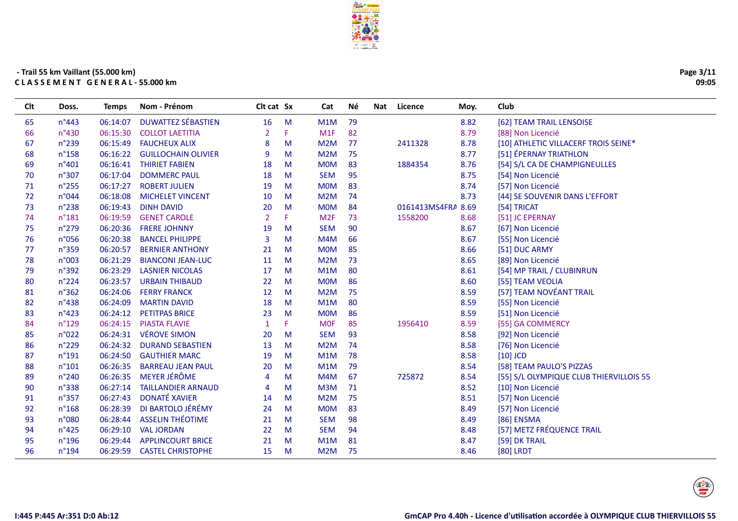

| Page 3/11 |       |
|-----------|-------|
|           | 09:05 |

| <b>CIt</b> | Doss.           | Temps    | Nom - Prénom               | <b>CIt cat Sx</b> |   | Cat             | <b>Nè</b> | Nat Licence        | Moy. | Club                                    |
|------------|-----------------|----------|----------------------------|-------------------|---|-----------------|-----------|--------------------|------|-----------------------------------------|
| 65         | $n^{\circ}443$  | 06:14:07 | <b>DUWATTEZ SÉBASTIEN</b>  | 16                | M | M1M             | 79        |                    | 8.82 | [62] TEAM TRAIL LENSOISE                |
| 66         | $n^{\circ}430$  | 06:15:30 | <b>COLLOT LAETITIA</b>     | $\overline{2}$    | F | M1F             | 82        |                    | 8.79 | [88] Non Licencié                       |
| 67         | $n^{\circ}$ 239 | 06:15:49 | <b>FAUCHEUX ALIX</b>       | 8                 | м | M2M             | 77        | 2411328            | 8.78 | [10] ATHLETIC VILLACERF TROIS SEINE*    |
| 68         | $n^{\circ}$ 158 | 06:16:22 | <b>GUILLOCHAIN OLIVIER</b> | 9                 | M | M2M             | 75        |                    | 8.77 | [51] ÉPERNAY TRIATHLON                  |
| 69         | $n^{\circ}401$  | 06:16:41 | <b>THIRIET FABIEN</b>      | 18                | M | <b>MOM</b>      | 83        | 1884354            | 8.76 | [54] S/L CA DE CHAMPIGNEULLES           |
| 70         | n°307           | 06:17:04 | <b>DOMMERC PAUL</b>        | 18                | M | <b>SEM</b>      | 95        |                    | 8.75 | [54] Non Licencié                       |
| 71         | $n^{\circ}255$  | 06:17:27 | <b>ROBERT JULIEN</b>       | 19                | M | <b>MOM</b>      | 83        |                    | 8.74 | [57] Non Licencié                       |
| 72         | n°044           | 06:18:08 | <b>MICHELET VINCENT</b>    | 10                | M | M2M             | 74        |                    | 8.73 | [44] SE SOUVENIR DANS L'EFFORT          |
| 73         | n°238           | 06:19:43 | <b>DINH DAVID</b>          | 20                | M | <b>MOM</b>      | 84        | 0161413MS4FRA 8.69 |      | [54] TRICAT                             |
| 74         | $n^{\circ}181$  | 06:19:59 | <b>GENET CAROLE</b>        | 2                 | F | M <sub>2F</sub> | 73        | 1558200            | 8.68 | [51] JC EPERNAY                         |
| 75         | n°279           | 06:20:36 | <b>FRERE JOHNNY</b>        | 19                | M | <b>SEM</b>      | 90        |                    | 8.67 | [67] Non Licencié                       |
| 76         | n°056           | 06:20:38 | <b>BANCEL PHILIPPE</b>     | 3                 | M | M4M             | 66        |                    | 8.67 | [55] Non Licencié                       |
| 77         | n°359           | 06:20:57 | <b>BERNIER ANTHONY</b>     | 21                | M | <b>MOM</b>      | 85        |                    | 8.66 | [51] DUC ARMY                           |
| 78         | n°003           | 06:21:29 | <b>BIANCONI JEAN-LUC</b>   | 11                | M | M2M             | 73        |                    | 8.65 | [89] Non Licencié                       |
| 79         | $n^{\circ}392$  | 06:23:29 | <b>LASNIER NICOLAS</b>     | 17                | M | M1M             | 80        |                    | 8.61 | [54] MP TRAIL / CLUBINRUN               |
| 80         | $n^{\circ}224$  | 06:23:57 | <b>URBAIN THIBAUD</b>      | 22                | M | <b>MOM</b>      | 86        |                    | 8.60 | [55] TEAM VEOLIA                        |
| 81         | $n^{\circ}362$  | 06:24:06 | <b>FERRY FRANCK</b>        | 12                | M | M2M             | 75        |                    | 8.59 | [57] TEAM NOVÉANT TRAIL                 |
| 82         | n°438           | 06:24:09 | <b>MARTIN DAVID</b>        | 18                | М | M1M             | 80        |                    | 8.59 | [55] Non Licencié                       |
| 83         | $n^{\circ}423$  | 06:24:12 | PETITPAS BRICE             | 23                | M | <b>MOM</b>      | 86        |                    | 8.59 | [51] Non Licencié                       |
| 84         | $n^{\circ}129$  | 06:24:15 | <b>PIASTA FLAVIE</b>       | $\mathbf{1}$      | F | <b>MOF</b>      | 85        | 1956410            | 8.59 | [55] GA COMMERCY                        |
| 85         | n°022           | 06:24:31 | VÉROVE SIMON               | 20                | M | <b>SEM</b>      | 93        |                    | 8.58 | [92] Non Licencié                       |
| 86         | $n^{\circ}$ 229 | 06:24:32 | <b>DURAND SEBASTIEN</b>    | 13                | M | M2M             | 74        |                    | 8.58 | [76] Non Licencié                       |
| 87         | $n^{\circ}191$  | 06:24:50 | <b>GAUTHIER MARC</b>       | 19                | м | M1M             | 78        |                    | 8.58 | $[10]$ JCD                              |
| 88         | $n^{\circ}101$  | 06:26:35 | <b>BARREAU JEAN PAUL</b>   | 20                | M | M1M             | 79        |                    | 8.54 | [58] TEAM PAULO'S PIZZAS                |
| 89         | n°240           | 06:26:35 | <b>MEYER JÉRÔME</b>        | 4                 | M | M4M             | 67        | 725872             | 8.54 | [55] S/L OLYMPIQUE CLUB THIERVILLOIS 55 |
| 90         | n°338           | 06:27:14 | <b>TAILLANDIER ARNAUD</b>  | $\overline{4}$    | M | M3M             | 71        |                    | 8.52 | [10] Non Licencié                       |
| 91         | n°357           | 06:27:43 | <b>DONATÉ XAVIER</b>       | 14                | М | M2M             | 75        |                    | 8.51 | [57] Non Licencié                       |
| 92         | $n^{\circ}168$  | 06:28:39 | DI BARTOLO JÉRÉMY          | 24                | М | <b>MOM</b>      | 83        |                    | 8.49 | [57] Non Licencié                       |
| 93         | n°080           | 06:28:44 | <b>ASSELIN THÉOTIME</b>    | 21                | M | <b>SEM</b>      | 98        |                    | 8.49 | [86] ENSMA                              |
| 94         | $n^{\circ}425$  | 06:29:10 | <b>VAL JORDAN</b>          | 22                | M | <b>SEM</b>      | 94        |                    | 8.48 | [57] METZ FRÉQUENCE TRAIL               |
| 95         | $n^{\circ}$ 196 | 06:29:44 | <b>APPLINCOURT BRICE</b>   | 21                | M | M1M             | 81        |                    | 8.47 | [59] DK TRAIL                           |
| 96         | n°194           | 06:29:59 | <b>CASTEL CHRISTOPHE</b>   | 15                | M | M2M             | 75        |                    | 8.46 | [80] LRDT                               |
|            |                 |          |                            |                   |   |                 |           |                    |      |                                         |

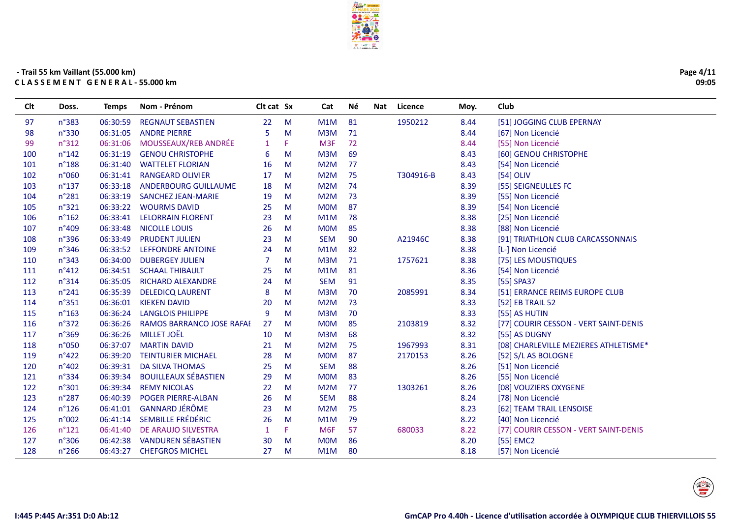

| Clt | Doss.           | <b>Temps</b> | Nom - Prénom                | Clt cat Sx     |    | Cat             | Νé | Nat | Licence   | Moy. | Club                                  |
|-----|-----------------|--------------|-----------------------------|----------------|----|-----------------|----|-----|-----------|------|---------------------------------------|
| 97  | $n^{\circ}383$  | 06:30:59     | <b>REGNAUT SEBASTIEN</b>    | 22             | M  | M1M             | 81 |     | 1950212   | 8.44 | [51] JOGGING CLUB EPERNAY             |
| 98  | n°330           | 06:31:05     | <b>ANDRE PIERRE</b>         | 5              | M  | M3M             | 71 |     |           | 8.44 | [67] Non Licencié                     |
| 99  | n°312           | 06:31:06     | MOUSSEAUX/REB ANDRÉE        | 1              | F. | M <sub>3F</sub> | 72 |     |           | 8.44 | [55] Non Licencié                     |
| 100 | $n^{\circ}$ 142 | 06:31:19     | <b>GENOU CHRISTOPHE</b>     | 6              | M  | M3M             | 69 |     |           | 8.43 | [60] GENOU CHRISTOPHE                 |
| 101 | $n^{\circ}188$  | 06:31:40     | <b>WATTELET FLORIAN</b>     | 16             | M  | M2M             | 77 |     |           | 8.43 | [54] Non Licencié                     |
| 102 | n°060           | 06:31:41     | <b>RANGEARD OLIVIER</b>     | 17             | M  | M2M             | 75 |     | T304916-B | 8.43 | [54] OLIV                             |
| 103 | $n^{\circ}$ 137 | 06:33:18     | <b>ANDERBOURG GUILLAUME</b> | 18             | M  | M2M             | 74 |     |           | 8.39 | [55] SEIGNEULLES FC                   |
| 104 | $n^{\circ}281$  | 06:33:19     | <b>SANCHEZ JEAN-MARIE</b>   | 19             | M  | M2M             | 73 |     |           | 8.39 | [55] Non Licencié                     |
| 105 | n°321           | 06:33:22     | <b>WOURMS DAVID</b>         | 25             | M  | <b>MOM</b>      | 87 |     |           | 8.39 | [54] Non Licencié                     |
| 106 | $n^{\circ}162$  | 06:33:41     | <b>LELORRAIN FLORENT</b>    | 23             | M  | M1M             | 78 |     |           | 8.38 | [25] Non Licencié                     |
| 107 | n°409           | 06:33:48     | <b>NICOLLE LOUIS</b>        | 26             | M  | <b>MOM</b>      | 85 |     |           | 8.38 | [88] Non Licencié                     |
| 108 | n°396           | 06:33:49     | <b>PRUDENT JULIEN</b>       | 23             | M  | <b>SEM</b>      | 90 |     | A21946C   | 8.38 | [91] TRIATHLON CLUB CARCASSONNAIS     |
| 109 | n°346           | 06:33:52     | <b>LEFFONDRE ANTOINE</b>    | 24             | M  | M1M             | 82 |     |           | 8.38 | [L-] Non Licencié                     |
| 110 | n°343           | 06:34:00     | <b>DUBERGEY JULIEN</b>      | $\overline{7}$ | M  | M3M             | 71 |     | 1757621   | 8.38 | [75] LES MOUSTIQUES                   |
| 111 | n°412           | 06:34:51     | <b>SCHAAL THIBAULT</b>      | 25             | M  | M1M             | 81 |     |           | 8.36 | [54] Non Licencié                     |
| 112 | n°314           | 06:35:05     | RICHARD ALEXANDRE           | 24             | M  | <b>SEM</b>      | 91 |     |           | 8.35 | [55] SPA37                            |
| 113 | $n^{\circ}241$  | 06:35:39     | <b>DELEDICQ LAURENT</b>     | 8              | M  | M3M             | 70 |     | 2085991   | 8.34 | [51] ERRANCE REIMS EUROPE CLUB        |
| 114 | n°351           | 06:36:01     | <b>KIEKEN DAVID</b>         | 20             | M  | M2M             | 73 |     |           | 8.33 | [52] EB TRAIL 52                      |
| 115 | $n^{\circ}163$  | 06:36:24     | <b>LANGLOIS PHILIPPE</b>    | 9              | M  | M3M             | 70 |     |           | 8.33 | [55] AS HUTIN                         |
| 116 | $n^{\circ}372$  | 06:36:26     | RAMOS BARRANCO JOSE RAFAI   | 27             | M  | <b>MOM</b>      | 85 |     | 2103819   | 8.32 | [77] COURIR CESSON - VERT SAINT-DENIS |
| 117 | n°369           | 06:36:26     | <b>MILLET JOËL</b>          | 10             | M  | M3M             | 68 |     |           | 8.32 | [55] AS DUGNY                         |
| 118 | n°050           | 06:37:07     | <b>MARTIN DAVID</b>         | 21             | M  | M2M             | 75 |     | 1967993   | 8.31 | [08] CHARLEVILLE MEZIERES ATHLETISME* |
| 119 | $n^{\circ}422$  | 06:39:20     | <b>TEINTURIER MICHAEL</b>   | 28             | M  | <b>MOM</b>      | 87 |     | 2170153   | 8.26 | [52] S/L AS BOLOGNE                   |
| 120 | n°402           | 06:39:31     | <b>DA SILVA THOMAS</b>      | 25             | M  | <b>SEM</b>      | 88 |     |           | 8.26 | [51] Non Licencié                     |
| 121 | n°334           | 06:39:34     | <b>BOUILLEAUX SÉBASTIEN</b> | 29             | M  | <b>MOM</b>      | 83 |     |           | 8.26 | [55] Non Licencié                     |
| 122 | n°301           | 06:39:34     | <b>REMY NICOLAS</b>         | 22             | M  | M2M             | 77 |     | 1303261   | 8.26 | [08] VOUZIERS OXYGENE                 |
| 123 | $n^{\circ}287$  | 06:40:39     | <b>POGER PIERRE-ALBAN</b>   | 26             | M  | <b>SEM</b>      | 88 |     |           | 8.24 | [78] Non Licencié                     |
| 124 | $n^{\circ}$ 126 | 06:41:01     | <b>GANNARD JÉRÔME</b>       | 23             | M  | M2M             | 75 |     |           | 8.23 | [62] TEAM TRAIL LENSOISE              |
| 125 | n°002           | 06:41:14     | SEMBILLE FRÉDÉRIC           | 26             | M  | M1M             | 79 |     |           | 8.22 | [40] Non Licencié                     |
| 126 | $n^{\circ}121$  | 06:41:40     | DE ARAUJO SILVESTRA         | 1              | F. | M <sub>6F</sub> | 57 |     | 680033    | 8.22 | [77] COURIR CESSON - VERT SAINT-DENIS |
| 127 | n°306           | 06:42:38     | <b>VANDUREN SÉBASTIEN</b>   | 30             | M  | <b>MOM</b>      | 86 |     |           | 8.20 | [55] EMC2                             |
| 128 | $n^{\circ}266$  | 06:43:27     | <b>CHEFGROS MICHEL</b>      | 27             | M  | M1M             | 80 |     |           | 8.18 | [57] Non Licencié                     |
|     |                 |              |                             |                |    |                 |    |     |           |      |                                       |



Page 4/11

09:05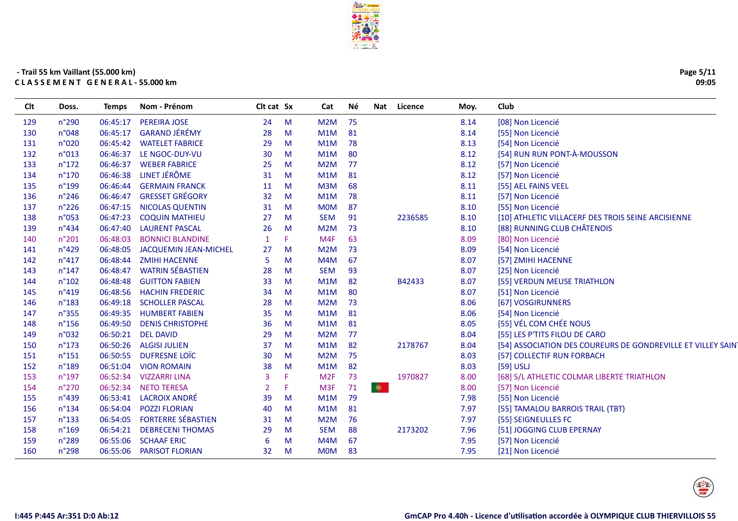

| Page 5/11 |
|-----------|
| 09:05     |

| Clt | Doss.           | <b>Temps</b> | Nom - Prénom                 | Clt cat Sx     |    | Cat              | Νé |           | Nat Licence | Moy. | Club                                                        |
|-----|-----------------|--------------|------------------------------|----------------|----|------------------|----|-----------|-------------|------|-------------------------------------------------------------|
| 129 | $n^{\circ}290$  | 06:45:17     | PEREIRA JOSE                 | 24             | M  | M2M              | 75 |           |             | 8.14 | [08] Non Licencié                                           |
| 130 | n°048           | 06:45:17     | <b>GARAND JÉRÉMY</b>         | 28             | M  | M1M              | 81 |           |             | 8.14 | [55] Non Licencié                                           |
| 131 | n°020           | 06:45:42     | <b>WATELET FABRICE</b>       | 29             | M  | M1M              | 78 |           |             | 8.13 | [54] Non Licencié                                           |
| 132 | n°013           | 06:46:37     | LE NGOC-DUY-VU               | 30             | M  | M1M              | 80 |           |             | 8.12 | [54] RUN RUN PONT-À-MOUSSON                                 |
| 133 | $n^{\circ}172$  | 06:46:37     | <b>WEBER FABRICE</b>         | 25             | M  | M <sub>2</sub> M | 77 |           |             | 8.12 | [57] Non Licencié                                           |
| 134 | $n^{\circ}170$  | 06:46:38     | LINET JÉRÔME                 | 31             | M  | M1M              | 81 |           |             | 8.12 | [57] Non Licencié                                           |
| 135 | $n^{\circ}$ 199 | 06:46:44     | <b>GERMAIN FRANCK</b>        | 11             | M  | M3M              | 68 |           |             | 8.11 | [55] AEL FAINS VEEL                                         |
| 136 | $n^{\circ}$ 246 | 06:46:47     | <b>GRESSET GRÉGORY</b>       | 32             | M  | M1M              | 78 |           |             | 8.11 | [57] Non Licencié                                           |
| 137 | $n^{\circ}226$  | 06:47:15     | <b>NICOLAS QUENTIN</b>       | 31             | M  | <b>MOM</b>       | 87 |           |             | 8.10 | [55] Non Licencié                                           |
| 138 | n°053           | 06:47:23     | <b>COQUIN MATHIEU</b>        | 27             | M  | <b>SEM</b>       | 91 |           | 2236585     | 8.10 | [10] ATHLETIC VILLACERF DES TROIS SEINE ARCISIENNE          |
| 139 | n°434           | 06:47:40     | <b>LAURENT PASCAL</b>        | 26             | M  | M <sub>2</sub> M | 73 |           |             | 8.10 | [88] RUNNING CLUB CHÂTENOIS                                 |
| 140 | n°201           | 06:48:03     | <b>BONNICI BLANDINE</b>      | $\mathbf{1}$   | F. | M4F              | 63 |           |             | 8.09 | [80] Non Licencié                                           |
| 141 | $n^{\circ}429$  | 06:48:05     | <b>JACQUEMIN JEAN-MICHEL</b> | 27             | M  | M <sub>2</sub> M | 73 |           |             | 8.09 | [54] Non Licencié                                           |
| 142 | $n^{\circ}417$  | 06:48:44     | <b>ZMIHI HACENNE</b>         | 5              | M  | M4M              | 67 |           |             | 8.07 | [57] ZMIHI HACENNE                                          |
| 143 | $n^{\circ}$ 147 | 06:48:47     | <b>WATRIN SÉBASTIEN</b>      | 28             | M  | <b>SEM</b>       | 93 |           |             | 8.07 | [25] Non Licencié                                           |
| 144 | $n^{\circ}102$  | 06:48:48     | <b>GUITTON FABIEN</b>        | 33             | M  | M1M              | 82 |           | B42433      | 8.07 | [55] VERDUN MEUSE TRIATHLON                                 |
| 145 | $n^{\circ}419$  | 06:48:56     | <b>HACHIN FREDERIC</b>       | 34             | M  | M1M              | 80 |           |             | 8.07 | [51] Non Licencié                                           |
| 146 | $n^{\circ}$ 183 | 06:49:18     | <b>SCHOLLER PASCAL</b>       | 28             | M  | M <sub>2</sub> M | 73 |           |             | 8.06 | [67] VOSGIRUNNERS                                           |
| 147 | n°355           | 06:49:35     | <b>HUMBERT FABIEN</b>        | 35             | M  | M1M              | 81 |           |             | 8.06 | [54] Non Licencié                                           |
| 148 | $n^{\circ}$ 156 | 06:49:50     | <b>DENIS CHRISTOPHE</b>      | 36             | M  | M1M              | 81 |           |             | 8.05 | [55] VÉL COM CHÉE NOUS                                      |
| 149 | n°032           | 06:50:21     | <b>DEL DAVID</b>             | 29             | M  | M <sub>2</sub> M | 77 |           |             | 8.04 | [55] LES P'TITS FILOU DE CARO                               |
| 150 | $n^{\circ}173$  | 06:50:26     | <b>ALGISI JULIEN</b>         | 37             | M  | M1M              | 82 |           | 2178767     | 8.04 | [54] ASSOCIATION DES COUREURS DE GONDREVILLE ET VILLEY SAIN |
| 151 | $n^{\circ}$ 151 | 06:50:55     | DUFRESNE LOÏC                | 30             | M  | M <sub>2</sub> M | 75 |           |             | 8.03 | [57] COLLECTIF RUN FORBACH                                  |
| 152 | $n^{\circ}$ 189 | 06:51:04     | <b>VION ROMAIN</b>           | 38             | M  | M1M              | 82 |           |             | 8.03 | $[59]$ USLJ                                                 |
| 153 | $n^{\circ}$ 197 | 06:52:34     | <b>VIZZARRI LINA</b>         | $\overline{3}$ | F. | M2F              | 73 |           | 1970827     | 8.00 | [68] S/L ATHLETIC COLMAR LIBERTE TRIATHLON                  |
| 154 | $n^{\circ}270$  | 06:52:34     | <b>NETO TERESA</b>           | $\overline{2}$ | F. | M <sub>3F</sub>  | 71 | $\bullet$ |             | 8.00 | [57] Non Licencié                                           |
| 155 | n°439           | 06:53:41     | <b>LACROIX ANDRÉ</b>         | 39             | M  | M1M              | 79 |           |             | 7.98 | [55] Non Licencié                                           |
| 156 | $n^{\circ}$ 134 | 06:54:04     | <b>POZZI FLORIAN</b>         | 40             | M  | M1M              | 81 |           |             | 7.97 | [55] TAMALOU BARROIS TRAIL (TBT)                            |
| 157 | $n^{\circ}$ 133 | 06:54:05     | <b>FORTERRE SÉBASTIEN</b>    | 31             | M  | M <sub>2</sub> M | 76 |           |             | 7.97 | [55] SEIGNEULLES FC                                         |
| 158 | $n^{\circ}169$  | 06:54:21     | <b>DEBRECENI THOMAS</b>      | 29             | M  | <b>SEM</b>       | 88 |           | 2173202     | 7.96 | [51] JOGGING CLUB EPERNAY                                   |
| 159 | n°289           | 06:55:06     | <b>SCHAAF ERIC</b>           | 6              | M  | M4M              | 67 |           |             | 7.95 | [57] Non Licencié                                           |
| 160 | n°298           | 06:55:06     | <b>PARISOT FLORIAN</b>       | 32             | M  | <b>MOM</b>       | 83 |           |             | 7.95 | [21] Non Licencié                                           |

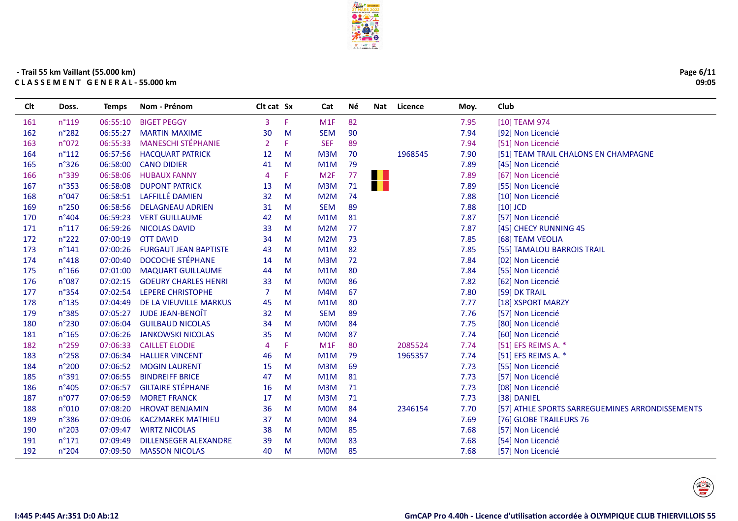

| Page 6/11 |       |
|-----------|-------|
|           | 09:05 |

| Clt | Doss.           | <b>Temps</b> | Nom - Prénom                 | Clt cat Sx     |   | Cat              | Νé | Nat               | Licence | Moy. | Club                                            |
|-----|-----------------|--------------|------------------------------|----------------|---|------------------|----|-------------------|---------|------|-------------------------------------------------|
| 161 | $n^{\circ}119$  | 06:55:10     | <b>BIGET PEGGY</b>           | 3              | F | M1F              | 82 |                   |         | 7.95 | [10] TEAM 974                                   |
| 162 | n°282           | 06:55:27     | <b>MARTIN MAXIME</b>         | 30             | M | <b>SEM</b>       | 90 |                   |         | 7.94 | [92] Non Licencié                               |
| 163 | n°072           | 06:55:33     | <b>MANESCHI STÉPHANIE</b>    | $\overline{2}$ | F | <b>SEF</b>       | 89 |                   |         | 7.94 | [51] Non Licencié                               |
| 164 | $n^{\circ}112$  | 06:57:56     | <b>HACQUART PATRICK</b>      | 12             | M | M <sub>3</sub> M | 70 |                   | 1968545 | 7.90 | [51] TEAM TRAIL CHALONS EN CHAMPAGNE            |
| 165 | n°326           | 06:58:00     | <b>CANO DIDIER</b>           | 41             | M | M1M              | 79 |                   |         | 7.89 | [45] Non Licencié                               |
| 166 | $n^{\circ}339$  | 06:58:06     | <b>HUBAUX FANNY</b>          | 4              | F | M <sub>2F</sub>  | 77 | H                 |         | 7.89 | [67] Non Licencié                               |
| 167 | $n^{\circ}353$  | 06:58:08     | <b>DUPONT PATRICK</b>        | 13             | M | M <sub>3</sub> M | 71 | <b>The Second</b> |         | 7.89 | [55] Non Licencié                               |
| 168 | n°047           |              | 06:58:51 LAFFILLÉ DAMIEN     | 32             | M | M2M              | 74 |                   |         | 7.88 | [10] Non Licencié                               |
| 169 | $n^{\circ}250$  | 06:58:56     | <b>DELAGNEAU ADRIEN</b>      | 31             | M | <b>SEM</b>       | 89 |                   |         | 7.88 | $[10]$ JCD                                      |
| 170 | $n^{\circ}404$  | 06:59:23     | <b>VERT GUILLAUME</b>        | 42             | M | M1M              | 81 |                   |         | 7.87 | [57] Non Licencié                               |
| 171 | $n^{\circ}117$  | 06:59:26     | <b>NICOLAS DAVID</b>         | 33             | M | M2M              | 77 |                   |         | 7.87 | [45] CHECY RUNNING 45                           |
| 172 | $n^{\circ}222$  | 07:00:19     | <b>OTT DAVID</b>             | 34             | M | M2M              | 73 |                   |         | 7.85 | [68] TEAM VEOLIA                                |
| 173 | $n^{\circ}141$  | 07:00:26     | <b>FURGAUT JEAN BAPTISTE</b> | 43             | M | M1M              | 82 |                   |         | 7.85 | [55] TAMALOU BARROIS TRAIL                      |
| 174 | n°418           | 07:00:40     | <b>DOCOCHE STÉPHANE</b>      | 14             | M | M3M              | 72 |                   |         | 7.84 | [02] Non Licencié                               |
| 175 | $n^{\circ}166$  | 07:01:00     | <b>MAQUART GUILLAUME</b>     | 44             | M | M1M              | 80 |                   |         | 7.84 | [55] Non Licencié                               |
| 176 | n°087           | 07:02:15     | <b>GOEURY CHARLES HENRI</b>  | 33             | M | <b>MOM</b>       | 86 |                   |         | 7.82 | [62] Non Licencié                               |
| 177 | n°354           | 07:02:54     | LEPERE CHRISTOPHE            | 7              | M | M4M              | 67 |                   |         | 7.80 | [59] DK TRAIL                                   |
| 178 | $n^{\circ}$ 135 | 07:04:49     | DE LA VIEUVILLE MARKUS       | 45             | M | M1M              | 80 |                   |         | 7.77 | [18] XSPORT MARZY                               |
| 179 | n°385           | 07:05:27     | JUDE JEAN-BENOÎT             | 32             | M | <b>SEM</b>       | 89 |                   |         | 7.76 | [57] Non Licencié                               |
| 180 | n°230           | 07:06:04     | <b>GUILBAUD NICOLAS</b>      | 34             | M | <b>MOM</b>       | 84 |                   |         | 7.75 | [80] Non Licencié                               |
| 181 | $n^{\circ}165$  | 07:06:26     | <b>JANKOWSKI NICOLAS</b>     | 35             | M | <b>MOM</b>       | 87 |                   |         | 7.74 | [60] Non Licencié                               |
| 182 | $n^{\circ}259$  | 07:06:33     | <b>CAILLET ELODIE</b>        | 4              | Е | M1F              | 80 |                   | 2085524 | 7.74 | [51] EFS REIMS A. *                             |
| 183 | n°258           | 07:06:34     | <b>HALLIER VINCENT</b>       | 46             | M | M <sub>1</sub> M | 79 |                   | 1965357 | 7.74 | [51] EFS REIMS A. *                             |
| 184 | n°200           |              | 07:06:52 MOGIN LAURENT       | 15             | M | M3M              | 69 |                   |         | 7.73 | [55] Non Licencié                               |
| 185 | n°391           | 07:06:55     | <b>BINDREIFF BRICE</b>       | 47             | M | M1M              | 81 |                   |         | 7.73 | [57] Non Licencié                               |
| 186 | $n^{\circ}405$  | 07:06:57     | <b>GILTAIRE STÉPHANE</b>     | 16             | M | M <sub>3</sub> M | 71 |                   |         | 7.73 | [08] Non Licencié                               |
| 187 | n°077           | 07:06:59     | <b>MORET FRANCK</b>          | 17             | M | M3M              | 71 |                   |         | 7.73 | [38] DANIEL                                     |
| 188 | n°010           | 07:08:20     | <b>HROVAT BENJAMIN</b>       | 36             | M | <b>MOM</b>       | 84 |                   | 2346154 | 7.70 | [57] ATHLE SPORTS SARREGUEMINES ARRONDISSEMENTS |
| 189 | n°386           | 07:09:06     | <b>KACZMAREK MATHIEU</b>     | 37             | M | <b>MOM</b>       | 84 |                   |         | 7.69 | [76] GLOBE TRAILEURS 76                         |
| 190 | n°203           | 07:09:47     | <b>WIRTZ NICOLAS</b>         | 38             | M | <b>MOM</b>       | 85 |                   |         | 7.68 | [57] Non Licencié                               |
| 191 | $n^{\circ}171$  | 07:09:49     | <b>DILLENSEGER ALEXANDRE</b> | 39             | M | <b>MOM</b>       | 83 |                   |         | 7.68 | [54] Non Licencié                               |
| 192 | n°204           | 07:09:50     | <b>MASSON NICOLAS</b>        | 40             | M | <b>MOM</b>       | 85 |                   |         | 7.68 | [57] Non Licencié                               |
|     |                 |              |                              |                |   |                  |    |                   |         |      |                                                 |

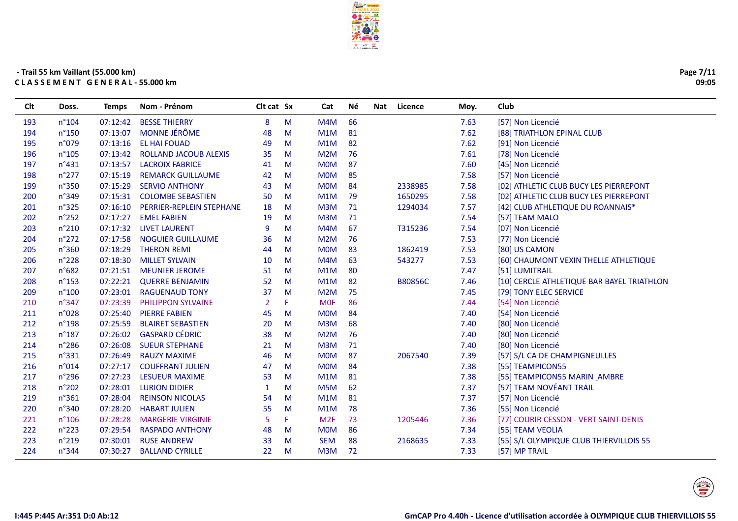

| Page 7/11 |
|-----------|
| 09:05     |

| Clt | Doss.           | <b>Temps</b> | Nom - Prénom              | Clt cat Sx     |    | Cat              | Νé | Licence<br>Nat | Moy. | Club                                       |
|-----|-----------------|--------------|---------------------------|----------------|----|------------------|----|----------------|------|--------------------------------------------|
| 193 | $n^{\circ}104$  | 07:12:42     | <b>BESSE THIERRY</b>      | 8              | M  | M4M              | 66 |                | 7.63 | [57] Non Licencié                          |
| 194 | $n^{\circ}$ 150 | 07:13:07     | <b>MONNE JÉRÔME</b>       | 48             | M  | M1M              | 81 |                | 7.62 | [88] TRIATHLON EPINAL CLUB                 |
| 195 | n°079           | 07:13:16     | <b>EL HAI FOUAD</b>       | 49             | M  | M1M              | 82 |                | 7.62 | [91] Non Licencié                          |
| 196 | $n^{\circ}105$  | 07:13:42     | ROLLAND JACOUB ALEXIS     | 35             | M  | M2M              | 76 |                | 7.61 | [78] Non Licencié                          |
| 197 | $n^{\circ}431$  | 07:13:57     | <b>LACROIX FABRICE</b>    | 41             | M  | <b>MOM</b>       | 87 |                | 7.60 | [45] Non Licencié                          |
| 198 | $n^{\circ}277$  | 07:15:19     | <b>REMARCK GUILLAUME</b>  | 42             | M  | <b>MOM</b>       | 85 |                | 7.58 | [57] Non Licencié                          |
| 199 | n°350           | 07:15:29     | <b>SERVIO ANTHONY</b>     | 43             | M  | <b>MOM</b>       | 84 | 2338985        | 7.58 | [02] ATHLETIC CLUB BUCY LES PIERREPONT     |
| 200 | n°349           | 07:15:31     | <b>COLOMBE SEBASTIEN</b>  | 50             | M  | M1M              | 79 | 1650295        | 7.58 | [02] ATHLETIC CLUB BUCY LES PIERREPONT     |
| 201 | n°325           | 07:16:10     | PERRIER-REPLEIN STEPHANE  | 18             | M  | M3M              | 71 | 1294034        | 7.57 | [42] CLUB ATHLETIQUE DU ROANNAIS*          |
| 202 | $n^{\circ}252$  | 07:17:27     | <b>EMEL FABIEN</b>        | 19             | M  | M3M              | 71 |                | 7.54 | [57] TEAM MALO                             |
| 203 | n°210           | 07:17:32     | <b>LIVET LAURENT</b>      | 9              | M  | M4M              | 67 | T315236        | 7.54 | [07] Non Licencié                          |
| 204 | $n^{\circ}272$  | 07:17:58     | <b>NOGUIER GUILLAUME</b>  | 36             | M  | M <sub>2</sub> M | 76 |                | 7.53 | [77] Non Licencié                          |
| 205 | n°360           | 07:18:29     | <b>THERON REMI</b>        | 44             | M  | <b>MOM</b>       | 83 | 1862419        | 7.53 | [80] US CAMON                              |
| 206 | n°228           | 07:18:30     | <b>MILLET SYLVAIN</b>     | 10             | M  | M4M              | 63 | 543277         | 7.53 | [60] CHAUMONT VEXIN THELLE ATHLETIQUE      |
| 207 | n°682           | 07:21:51     | <b>MEUNIER JEROME</b>     | 51             | M  | M1M              | 80 |                | 7.47 | [51] LUMITRAIL                             |
| 208 | $n^{\circ}$ 153 | 07:22:21     | <b>QUERRE BENJAMIN</b>    | 52             | M  | M1M              | 82 | <b>B80856C</b> | 7.46 | [10] CERCLE ATHLETIQUE BAR BAYEL TRIATHLON |
| 209 | n°100           | 07:23:01     | <b>RAGUENAUD TONY</b>     | 37             | M  | M2M              | 75 |                | 7.45 | [79] TONY ELEC SERVICE                     |
| 210 | $n^{\circ}347$  | 07:23:39     | <b>PHILIPPON SYLVAINE</b> | $\overline{2}$ | F. | <b>MOF</b>       | 86 |                | 7.44 | [54] Non Licencié                          |
| 211 | n°028           | 07:25:40     | <b>PIERRE FABIEN</b>      | 45             | M  | <b>MOM</b>       | 84 |                | 7.40 | [54] Non Licencié                          |
| 212 | n°198           | 07:25:59     | <b>BLAIRET SEBASTIEN</b>  | 20             | M  | M3M              | 68 |                | 7.40 | [80] Non Licencié                          |
| 213 | $n^{\circ}187$  |              | 07:26:02 GASPARD CÉDRIC   | 38             | M  | M2M              | 76 |                | 7.40 | [80] Non Licencié                          |
| 214 | $n^{\circ}286$  | 07:26:08     | <b>SUEUR STEPHANE</b>     | 21             | M  | M3M              | 71 |                | 7.40 | [80] Non Licencié                          |
| 215 | $n^{\circ}331$  | 07:26:49     | <b>RAUZY MAXIME</b>       | 46             | M  | <b>MOM</b>       | 87 | 2067540        | 7.39 | [57] S/L CA DE CHAMPIGNEULLES              |
| 216 | n°014           | 07:27:17     | <b>COUFFRANT JULIEN</b>   | 47             | M  | <b>MOM</b>       | 84 |                | 7.38 | [55] TEAMPICON55                           |
| 217 | $n^{\circ}$ 296 | 07:27:23     | <b>LESUEUR MAXIME</b>     | 53             | M  | M1M              | 81 |                | 7.38 | [55] TEAMPICON55 MARIN AMBRE               |
| 218 | n°202           | 07:28:01     | <b>LURION DIDIER</b>      | 1              | M  | M5M              | 62 |                | 7.37 | [57] TEAM NOVÉANT TRAIL                    |
| 219 | $n^{\circ}361$  | 07:28:04     | <b>REINSON NICOLAS</b>    | 54             | M  | M1M              | 81 |                | 7.37 | [57] Non Licencié                          |
| 220 | n°340           | 07:28:20     | <b>HABART JULIEN</b>      | 55             | M  | M1M              | 78 |                | 7.36 | [55] Non Licencié                          |
| 221 | $n^{\circ}106$  | 07:28:28     | <b>MARGERIE VIRGINIE</b>  | 5              | F. | M <sub>2F</sub>  | 73 | 1205446        | 7.36 | [77] COURIR CESSON - VERT SAINT-DENIS      |
| 222 | $n^{\circ}223$  | 07:29:54     | <b>RASPADO ANTHONY</b>    | 48             | M  | <b>MOM</b>       | 86 |                | 7.34 | [55] TEAM VEOLIA                           |
| 223 | $n^{\circ}219$  | 07:30:01     | <b>RUSE ANDREW</b>        | 33             | M  | <b>SEM</b>       | 88 | 2168635        | 7.33 | [55] S/L OLYMPIQUE CLUB THIERVILLOIS 55    |
| 224 | n°344           | 07:30:27     | <b>BALLAND CYRILLE</b>    | 22             | M  | M3M              | 72 |                | 7.33 | [57] MP TRAIL                              |
|     |                 |              |                           |                |    |                  |    |                |      |                                            |

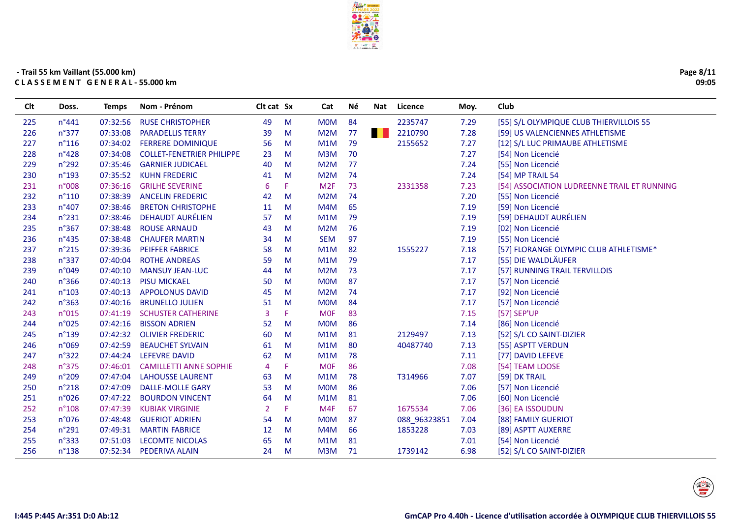

Cat

Né

Nat Licence

Moy.

Club

Clt cat Sx

#### - Trail 55 km Vaillant (55.000 km) CLASSEMENT GENERAL-55.000 km

Doss.

**Temps** 

Nom - Prénom

**Clt** 

| 225 | $n^{\circ}441$  | 07:32:56 | <b>RUSE CHRISTOPHER</b>          | 49             | M | <b>MOM</b>       | 84                | 2235747      | 7.29 | [55] S/L OLYMPIQUE CLUB THIERVILLOIS 55     |
|-----|-----------------|----------|----------------------------------|----------------|---|------------------|-------------------|--------------|------|---------------------------------------------|
| 226 | $n^{\circ}377$  | 07:33:08 | <b>PARADELLIS TERRY</b>          | 39             | M | M <sub>2</sub> M | <b>TERR</b><br>77 | 2210790      | 7.28 | [59] US VALENCIENNES ATHLETISME             |
| 227 | $n^{\circ}116$  | 07:34:02 | <b>FERRERE DOMINIQUE</b>         | 56             | M | M1M              | 79                | 2155652      | 7.27 | [12] S/L LUC PRIMAUBE ATHLETISME            |
| 228 | $n^{\circ}428$  | 07:34:08 | <b>COLLET-FENETRIER PHILIPPE</b> | 23             | M | M3M              | 70                |              | 7.27 | [54] Non Licencié                           |
| 229 | $n^{\circ}292$  | 07:35:46 | <b>GARNIER JUDICAEL</b>          | 40             | M | M2M              | 77                |              | 7.24 | [55] Non Licencié                           |
| 230 | $n^{\circ}$ 193 | 07:35:52 | <b>KUHN FREDERIC</b>             | 41             | M | M <sub>2</sub> M | 74                |              | 7.24 | [54] MP TRAIL 54                            |
| 231 | n°008           | 07:36:16 | <b>GRILHE SEVERINE</b>           | 6              | F | M <sub>2F</sub>  | 73                | 2331358      | 7.23 | [54] ASSOCIATION LUDREENNE TRAIL ET RUNNING |
| 232 | $n^{\circ}110$  | 07:38:39 | <b>ANCELIN FREDERIC</b>          | 42             | M | M <sub>2</sub> M | 74                |              | 7.20 | [55] Non Licencié                           |
| 233 | n°407           | 07:38:46 | <b>BRETON CHRISTOPHE</b>         | 11             | M | M4M              | 65                |              | 7.19 | [59] Non Licencié                           |
| 234 | $n^{\circ}231$  | 07:38:46 | <b>DEHAUDT AURÉLIEN</b>          | 57             | M | M1M              | 79                |              | 7.19 | [59] DEHAUDT AURÉLIEN                       |
| 235 | n°367           | 07:38:48 | <b>ROUSE ARNAUD</b>              | 43             | M | M <sub>2</sub> M | 76                |              | 7.19 | [02] Non Licencié                           |
| 236 | $n^{\circ}$ 435 | 07:38:48 | <b>CHAUFER MARTIN</b>            | 34             | M | <b>SEM</b>       | 97                |              | 7.19 | [55] Non Licencié                           |
| 237 | $n^{\circ}215$  | 07:39:36 | <b>PEIFFER FABRICE</b>           | 58             | M | M1M              | 82                | 1555227      | 7.18 | [57] FLORANGE OLYMPIC CLUB ATHLETISME*      |
| 238 | n°337           | 07:40:04 | <b>ROTHE ANDREAS</b>             | 59             | M | M1M              | 79                |              | 7.17 | [55] DIE WALDLÄUFER                         |
| 239 | n°049           | 07:40:10 | <b>MANSUY JEAN-LUC</b>           | 44             | M | M <sub>2</sub> M | 73                |              | 7.17 | [57] RUNNING TRAIL TERVILLOIS               |
| 240 | $n^{\circ}366$  | 07:40:13 | <b>PISU MICKAEL</b>              | 50             | M | <b>MOM</b>       | 87                |              | 7.17 | [57] Non Licencié                           |
| 241 | n°103           | 07:40:13 | <b>APPOLONUS DAVID</b>           | 45             | M | M <sub>2</sub> M | 74                |              | 7.17 | [92] Non Licencié                           |
| 242 | $n^{\circ}363$  | 07:40:16 | <b>BRUNELLO JULIEN</b>           | 51             | M | <b>MOM</b>       | 84                |              | 7.17 | [57] Non Licencié                           |
| 243 | n°015           | 07:41:19 | <b>SCHUSTER CATHERINE</b>        | 3              | F | <b>MOF</b>       | 83                |              | 7.15 | [57] SEP'UP                                 |
| 244 | n°025           | 07:42:16 | <b>BISSON ADRIEN</b>             | 52             | M | <b>MOM</b>       | 86                |              | 7.14 | [86] Non Licencié                           |
| 245 | $n^{\circ}$ 139 | 07:42:32 | <b>OLIVIER FREDERIC</b>          | 60             | M | M1M              | 81                | 2129497      | 7.13 | [52] S/L CO SAINT-DIZIER                    |
| 246 | n°069           | 07:42:59 | <b>BEAUCHET SYLVAIN</b>          | 61             | M | M1M              | 80                | 40487740     | 7.13 | [55] ASPTT VERDUN                           |
| 247 | $n^{\circ}322$  | 07:44:24 | LEFEVRE DAVID                    | 62             | M | M1M              | 78                |              | 7.11 | [77] DAVID LEFEVE                           |
| 248 | $n^{\circ}375$  | 07:46:01 | <b>CAMILLETTI ANNE SOPHIE</b>    | $\overline{4}$ | F | <b>MOF</b>       | 86                |              | 7.08 | [54] TEAM LOOSE                             |
| 249 | $n^{\circ}209$  | 07:47:04 | <b>LAHOUSSE LAURENT</b>          | 63             | M | M1M              | 78                | T314966      | 7.07 | [59] DK TRAIL                               |
| 250 | $n^{\circ}218$  | 07:47:09 | <b>DALLE-MOLLE GARY</b>          | 53             | M | <b>MOM</b>       | 86                |              | 7.06 | [57] Non Licencié                           |
| 251 | n°026           | 07:47:22 | <b>BOURDON VINCENT</b>           | 64             | M | M1M              | 81                |              | 7.06 | [60] Non Licencié                           |
| 252 | $n^{\circ}108$  | 07:47:39 | <b>KUBIAK VIRGINIE</b>           | 2              | F | M4F              | 67                | 1675534      | 7.06 | [36] EA ISSOUDUN                            |
| 253 | n°076           | 07:48:48 | <b>GUERIOT ADRIEN</b>            | 54             | M | <b>MOM</b>       | 87                | 088 96323851 | 7.04 | [88] FAMILY GUERIOT                         |
| 254 | n°291           | 07:49:31 | <b>MARTIN FABRICE</b>            | 12             | M | M4M              | 66                | 1853228      | 7.03 | [89] ASPTT AUXERRE                          |
| 255 | $n^{\circ}333$  | 07:51:03 | <b>LECOMTE NICOLAS</b>           | 65             | M | M1M              | 81                |              | 7.01 | [54] Non Licencié                           |
| 256 | $n^{\circ}$ 138 | 07:52:34 | PEDERIVA ALAIN                   | 24             | M | M3M              | 71                | 1739142      | 6.98 | [52] S/L CO SAINT-DIZIER                    |
|     |                 |          |                                  |                |   |                  |                   |              |      |                                             |

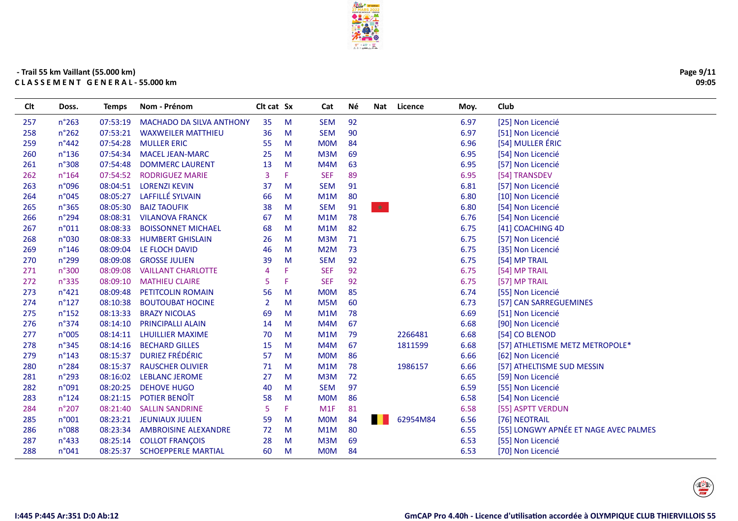

Cat

Né

Nat Licence

Moy.

Club

Clt cat Sx

#### - Trail 55 km Vaillant (55.000 km) CLASSEMENT GENERAL-55.000 km

Doss.

Temps Nom - Prénom

**Clt** 

| 257 | $n^{\circ}263$  | 07:53:19 | <b>MACHADO DA SILVA ANTHONY</b> | 35             | M  | <b>SEM</b> | 92 |          | 6.97 | [25] Non Licencié                     |
|-----|-----------------|----------|---------------------------------|----------------|----|------------|----|----------|------|---------------------------------------|
| 258 | $n^{\circ}262$  | 07:53:21 | <b>WAXWEILER MATTHIEU</b>       | 36             | M  | <b>SEM</b> | 90 |          | 6.97 | [51] Non Licencié                     |
| 259 | $n^{\circ}442$  | 07:54:28 | <b>MULLER ERIC</b>              | 55             | M  | <b>MOM</b> | 84 |          | 6.96 | [54] MULLER ÉRIC                      |
| 260 | $n^{\circ}$ 136 | 07:54:34 | <b>MACEL JEAN-MARC</b>          | 25             | M  | M3M        | 69 |          | 6.95 | [54] Non Licencié                     |
| 261 | n°308           | 07:54:48 | <b>DOMMERC LAURENT</b>          | 13             | M  | M4M        | 63 |          | 6.95 | [57] Non Licencié                     |
| 262 | $n^{\circ}164$  | 07:54:52 | <b>RODRIGUEZ MARIE</b>          | 3              | F. | <b>SEF</b> | 89 |          | 6.95 | [54] TRANSDEV                         |
| 263 | n°096           | 08:04:51 | <b>LORENZI KEVIN</b>            | 37             | M  | <b>SEM</b> | 91 |          | 6.81 | [57] Non Licencié                     |
| 264 | n°045           | 08:05:27 | LAFFILLÉ SYLVAIN                | 66             | M  | M1M        | 80 |          | 6.80 | [10] Non Licencié                     |
| 265 | $n^{\circ}365$  | 08:05:30 | <b>BAIZ TAOUFIK</b>             | 38             | M  | <b>SEM</b> | 91 | 大        | 6.80 | [54] Non Licencié                     |
| 266 | $n^{\circ}$ 294 |          | 08:08:31 VILANOVA FRANCK        | 67             | M  | M1M        | 78 |          | 6.76 | [54] Non Licencié                     |
| 267 | n°011           | 08:08:33 | <b>BOISSONNET MICHAEL</b>       | 68             | M  | M1M        | 82 |          | 6.75 | [41] COACHING 4D                      |
| 268 | n°030           | 08:08:33 | <b>HUMBERT GHISLAIN</b>         | 26             | M  | M3M        | 71 |          | 6.75 | [57] Non Licencié                     |
| 269 | $n^{\circ}$ 146 | 08:09:04 | LE FLOCH DAVID                  | 46             | M  | M2M        | 73 |          | 6.75 | [35] Non Licencié                     |
| 270 | $n^{\circ}$ 299 | 08:09:08 | <b>GROSSE JULIEN</b>            | 39             | M  | <b>SEM</b> | 92 |          | 6.75 | [54] MP TRAIL                         |
| 271 | n°300           | 08:09:08 | <b>VAILLANT CHARLOTTE</b>       | 4              | F  | <b>SEF</b> | 92 |          | 6.75 | [54] MP TRAIL                         |
| 272 | $n^{\circ}335$  | 08:09:10 | <b>MATHIEU CLAIRE</b>           | 5              | F. | <b>SEF</b> | 92 |          | 6.75 | [57] MP TRAIL                         |
| 273 | $n^{\circ}421$  | 08:09:48 | <b>PETITCOLIN ROMAIN</b>        | 56             | M  | <b>MOM</b> | 85 |          | 6.74 | [55] Non Licencié                     |
| 274 | $n^{\circ}127$  | 08:10:38 | <b>BOUTOUBAT HOCINE</b>         | $\overline{2}$ | M  | M5M        | 60 |          | 6.73 | [57] CAN SARREGUEMINES                |
| 275 | $n^{\circ}$ 152 | 08:13:33 | <b>BRAZY NICOLAS</b>            | 69             | M  | M1M        | 78 |          | 6.69 | [51] Non Licencié                     |
| 276 | n°374           | 08:14:10 | <b>PRINCIPALLI ALAIN</b>        | 14             | M  | M4M        | 67 |          | 6.68 | [90] Non Licencié                     |
| 277 | n°005           | 08:14:11 | <b>LHUILLIER MAXIME</b>         | 70             | M  | M1M        | 79 | 2266481  | 6.68 | [54] CO BLENOD                        |
| 278 | n°345           | 08:14:16 | <b>BECHARD GILLES</b>           | 15             | M  | M4M        | 67 | 1811599  | 6.68 | [57] ATHLETISME METZ METROPOLE*       |
| 279 | $n^{\circ}$ 143 | 08:15:37 | <b>DURIEZ FRÉDÉRIC</b>          | 57             | M  | <b>MOM</b> | 86 |          | 6.66 | [62] Non Licencié                     |
| 280 | n°284           | 08:15:37 | <b>RAUSCHER OLIVIER</b>         | 71             | M  | M1M        | 78 | 1986157  | 6.66 | [57] ATHELTISME SUD MESSIN            |
| 281 | $n^{\circ}293$  |          | 08:16:02 LEBLANC JEROME         | 27             | M  | M3M        | 72 |          | 6.65 | [59] Non Licencié                     |
| 282 | n°091           | 08:20:25 | <b>DEHOVE HUGO</b>              | 40             | M  | <b>SEM</b> | 97 |          | 6.59 | [55] Non Licencié                     |
| 283 | $n^{\circ}124$  | 08:21:15 | POTIER BENOÎT                   | 58             | M  | <b>MOM</b> | 86 |          | 6.58 | [54] Non Licencié                     |
| 284 | $n^{\circ}207$  | 08:21:40 | <b>SALLIN SANDRINE</b>          | 5              | F. | M1F        | 81 |          | 6.58 | [55] ASPTT VERDUN                     |
| 285 | n°001           |          | 08:23:21 JEUNIAUX JULIEN        | 59             | M  | <b>MOM</b> | 84 | 62954M84 | 6.56 | [76] NEOTRAIL                         |
| 286 | n°088           | 08:23:34 | <b>AMBROISINE ALEXANDRE</b>     | 72             | M  | M1M        | 80 |          | 6.55 | [55] LONGWY APNÉE ET NAGE AVEC PALMES |
| 287 | $n^{\circ}433$  | 08:25:14 | <b>COLLOT FRANÇOIS</b>          | 28             | M  | M3M        | 69 |          | 6.53 | [55] Non Licencié                     |
| 288 | n°041           | 08:25:37 | <b>SCHOEPPERLE MARTIAL</b>      | 60             | M  | <b>MOM</b> | 84 |          | 6.53 | [70] Non Licencié                     |
|     |                 |          |                                 |                |    |            |    |          |      |                                       |

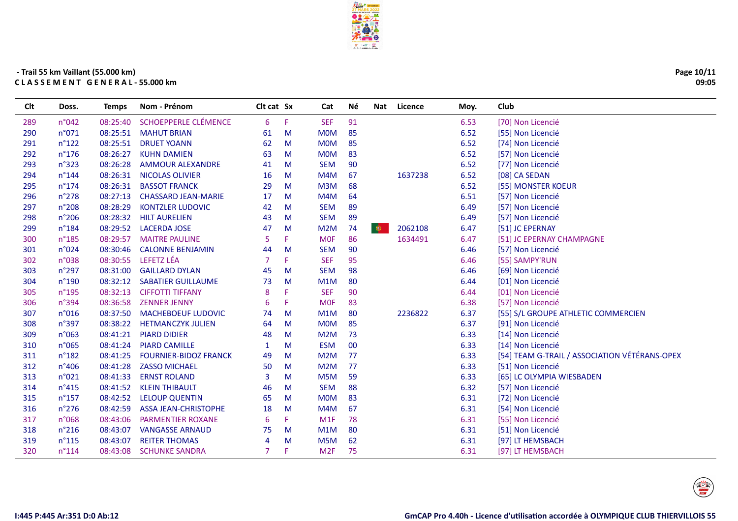

| Page 10/11 |
|------------|
| 09:05      |

| Clt | Doss.           | <b>Temps</b> | Nom - Prénom                 | Clt cat Sx     |    | Cat              | Νé | Nat       | Licence | Moy. | Club                                          |
|-----|-----------------|--------------|------------------------------|----------------|----|------------------|----|-----------|---------|------|-----------------------------------------------|
| 289 | n°042           | 08:25:40     | <b>SCHOEPPERLE CLÉMENCE</b>  | 6              | F. | <b>SEF</b>       | 91 |           |         | 6.53 | [70] Non Licencié                             |
| 290 | n°071           | 08:25:51     | <b>MAHUT BRIAN</b>           | 61             | M  | <b>MOM</b>       | 85 |           |         | 6.52 | [55] Non Licencié                             |
| 291 | $n^{\circ}122$  | 08:25:51     | <b>DRUET YOANN</b>           | 62             | M  | <b>MOM</b>       | 85 |           |         | 6.52 | [74] Non Licencié                             |
| 292 | $n^{\circ}176$  | 08:26:27     | <b>KUHN DAMIEN</b>           | 63             | M  | <b>MOM</b>       | 83 |           |         | 6.52 | [57] Non Licencié                             |
| 293 | n°323           | 08:26:28     | <b>AMMOUR ALEXANDRE</b>      | 41             | M  | <b>SEM</b>       | 90 |           |         | 6.52 | [77] Non Licencié                             |
| 294 | $n^{\circ}$ 144 | 08:26:31     | NICOLAS OLIVIER              | 16             | M  | M4M              | 67 |           | 1637238 | 6.52 | [08] CA SEDAN                                 |
| 295 | $n^{\circ}$ 174 | 08:26:31     | <b>BASSOT FRANCK</b>         | 29             | M  | M3M              | 68 |           |         | 6.52 | [55] MONSTER KOEUR                            |
| 296 | n°278           | 08:27:13     | <b>CHASSARD JEAN-MARIE</b>   | 17             | M  | M4M              | 64 |           |         | 6.51 | [57] Non Licencié                             |
| 297 | $n^{\circ}208$  | 08:28:29     | <b>KONTZLER LUDOVIC</b>      | 42             | м  | <b>SEM</b>       | 89 |           |         | 6.49 | [57] Non Licencié                             |
| 298 | n°206           | 08:28:32     | <b>HILT AURELIEN</b>         | 43             | M  | <b>SEM</b>       | 89 |           |         | 6.49 | [57] Non Licencié                             |
| 299 | $n^{\circ}$ 184 | 08:29:52     | <b>LACERDA JOSE</b>          | 47             | M  | M2M              | 74 | $\bullet$ | 2062108 | 6.47 | [51] JC EPERNAY                               |
| 300 | $n^{\circ}$ 185 | 08:29:57     | <b>MAITRE PAULINE</b>        | 5              | F. | <b>MOF</b>       | 86 |           | 1634491 | 6.47 | [51] JC EPERNAY CHAMPAGNE                     |
| 301 | n°024           | 08:30:46     | <b>CALONNE BENJAMIN</b>      | 44             | M  | <b>SEM</b>       | 90 |           |         | 6.46 | [57] Non Licencié                             |
| 302 | n°038           | 08:30:55     | LEFETZ LÉA                   | 7              | F  | <b>SEF</b>       | 95 |           |         | 6.46 | [55] SAMPY'RUN                                |
| 303 | $n^{\circ}297$  | 08:31:00     | <b>GAILLARD DYLAN</b>        | 45             | M  | <b>SEM</b>       | 98 |           |         | 6.46 | [69] Non Licencié                             |
| 304 | n°190           | 08:32:12     | <b>SABATIER GUILLAUME</b>    | 73             | M  | M1M              | 80 |           |         | 6.44 | [01] Non Licencié                             |
| 305 | $n^{\circ}$ 195 | 08:32:13     | <b>CIFFOTTI TIFFANY</b>      | 8              | F  | <b>SEF</b>       | 90 |           |         | 6.44 | [01] Non Licencié                             |
| 306 | $n^{\circ}394$  | 08:36:58     | <b>ZENNER JENNY</b>          | 6              | F  | <b>MOF</b>       | 83 |           |         | 6.38 | [57] Non Licencié                             |
| 307 | n°016           | 08:37:50     | <b>MACHEBOEUF LUDOVIC</b>    | 74             | M  | M1M              | 80 |           | 2236822 | 6.37 | [55] S/L GROUPE ATHLETIC COMMERCIEN           |
| 308 | n°397           | 08:38:22     | <b>HETMANCZYK JULIEN</b>     | 64             | M  | <b>MOM</b>       | 85 |           |         | 6.37 | [91] Non Licencié                             |
| 309 | n°063           | 08:41:21     | <b>PIARD DIDIER</b>          | 48             | M  | M2M              | 73 |           |         | 6.33 | [14] Non Licencié                             |
| 310 | n°065           | 08:41:24     | <b>PIARD CAMILLE</b>         | $\mathbf{1}$   | M  | <b>ESM</b>       | 00 |           |         | 6.33 | [14] Non Licencié                             |
| 311 | $n^{\circ}$ 182 | 08:41:25     | <b>FOURNIER-BIDOZ FRANCK</b> | 49             | M  | M <sub>2</sub> M | 77 |           |         | 6.33 | [54] TEAM G-TRAIL / ASSOCIATION VÉTÉRANS-OPEX |
| 312 | $n^{\circ}406$  | 08:41:28     | <b>ZASSO MICHAEL</b>         | 50             | M  | M2M              | 77 |           |         | 6.33 | [51] Non Licencié                             |
| 313 | n°021           | 08:41:33     | <b>ERNST ROLAND</b>          | 3              | м  | M5M              | 59 |           |         | 6.33 | [65] LC OLYMPIA WIESBADEN                     |
| 314 | $n^{\circ}415$  | 08:41:52     | <b>KLEIN THIBAULT</b>        | 46             | M  | <b>SEM</b>       | 88 |           |         | 6.32 | [57] Non Licencié                             |
| 315 | $n^{\circ}$ 157 | 08:42:52     | <b>LELOUP QUENTIN</b>        | 65             | M  | <b>MOM</b>       | 83 |           |         | 6.31 | [72] Non Licencié                             |
| 316 | $n^{\circ}276$  | 08:42:59     | <b>ASSA JEAN-CHRISTOPHE</b>  | 18             | M  | M4M              | 67 |           |         | 6.31 | [54] Non Licencié                             |
| 317 | n°068           | 08:43:06     | <b>PARMENTIER ROXANE</b>     | 6              | F. | M1F              | 78 |           |         | 6.31 | [55] Non Licencié                             |
| 318 | $n^{\circ}216$  | 08:43:07     | <b>VANGASSE ARNAUD</b>       | 75             | M  | M1M              | 80 |           |         | 6.31 | [51] Non Licencié                             |
| 319 | $n^{\circ}115$  | 08:43:07     | <b>REITER THOMAS</b>         | $\overline{4}$ | м  | M <sub>5</sub> M | 62 |           |         | 6.31 | [97] LT HEMSBACH                              |
| 320 | $n^{\circ}114$  | 08:43:08     | <b>SCHUNKE SANDRA</b>        | 7              | F. | M <sub>2F</sub>  | 75 |           |         | 6.31 | [97] LT HEMSBACH                              |
|     |                 |              |                              |                |    |                  |    |           |         |      |                                               |